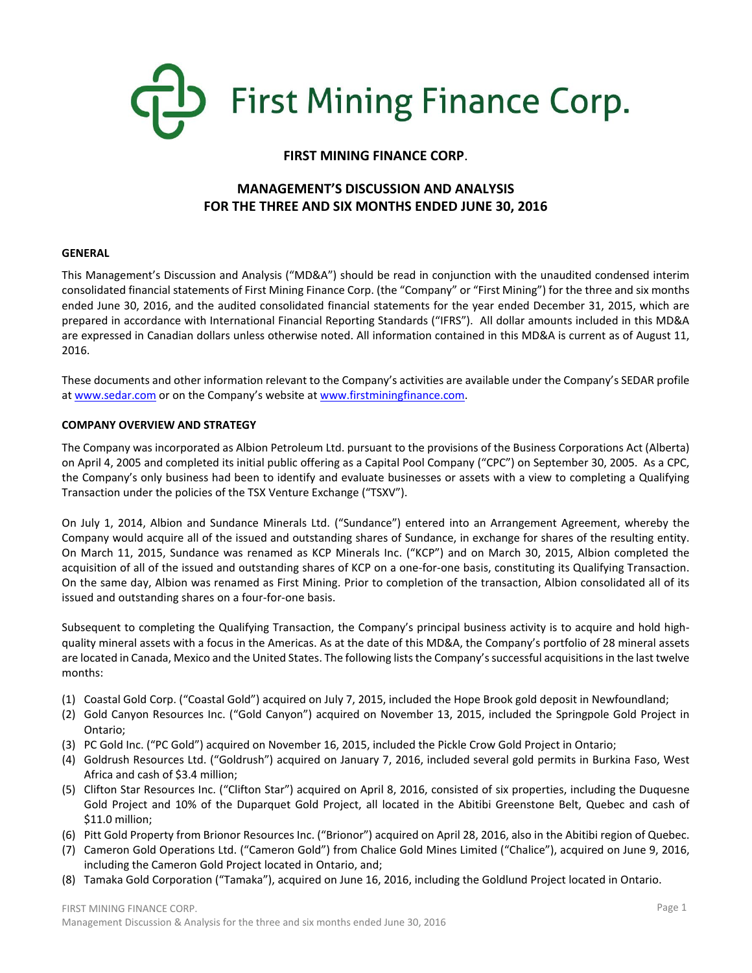

# **FIRST MINING FINANCE CORP**.

# **MANAGEMENT'S DISCUSSION AND ANALYSIS FOR THE THREE AND SIX MONTHS ENDED JUNE 30, 2016**

### **GENERAL**

This Management's Discussion and Analysis ("MD&A") should be read in conjunction with the unaudited condensed interim consolidated financial statements of First Mining Finance Corp. (the "Company" or "First Mining") for the three and six months ended June 30, 2016, and the audited consolidated financial statements for the year ended December 31, 2015, which are prepared in accordance with International Financial Reporting Standards ("IFRS"). All dollar amounts included in this MD&A are expressed in Canadian dollars unless otherwise noted. All information contained in this MD&A is current as of August 11, 2016.

These documents and other information relevant to the Company's activities are available under the Company's SEDAR profile at [www.sedar.com](http://www.sedar.com/) or on the Company's website at [www.firstminingfinance.com.](http://www.firstminingfinance.com/)

### **COMPANY OVERVIEW AND STRATEGY**

The Company was incorporated as Albion Petroleum Ltd. pursuant to the provisions of the Business Corporations Act (Alberta) on April 4, 2005 and completed its initial public offering as a Capital Pool Company ("CPC") on September 30, 2005. As a CPC, the Company's only business had been to identify and evaluate businesses or assets with a view to completing a Qualifying Transaction under the policies of the TSX Venture Exchange ("TSXV").

On July 1, 2014, Albion and Sundance Minerals Ltd. ("Sundance") entered into an Arrangement Agreement, whereby the Company would acquire all of the issued and outstanding shares of Sundance, in exchange for shares of the resulting entity. On March 11, 2015, Sundance was renamed as KCP Minerals Inc. ("KCP") and on March 30, 2015, Albion completed the acquisition of all of the issued and outstanding shares of KCP on a one-for-one basis, constituting its Qualifying Transaction. On the same day, Albion was renamed as First Mining. Prior to completion of the transaction, Albion consolidated all of its issued and outstanding shares on a four-for-one basis.

Subsequent to completing the Qualifying Transaction, the Company's principal business activity is to acquire and hold highquality mineral assets with a focus in the Americas. As at the date of this MD&A, the Company's portfolio of 28 mineral assets are located in Canada, Mexico and the United States. The following liststhe Company's successful acquisitionsin the last twelve months:

- (1) Coastal Gold Corp. ("Coastal Gold") acquired on July 7, 2015, included the Hope Brook gold deposit in Newfoundland;
- (2) Gold Canyon Resources Inc. ("Gold Canyon") acquired on November 13, 2015, included the Springpole Gold Project in Ontario;
- (3) PC Gold Inc. ("PC Gold") acquired on November 16, 2015, included the Pickle Crow Gold Project in Ontario;
- (4) Goldrush Resources Ltd. ("Goldrush") acquired on January 7, 2016, included several gold permits in Burkina Faso, West Africa and cash of \$3.4 million;
- (5) Clifton Star Resources Inc. ("Clifton Star") acquired on April 8, 2016, consisted of six properties, including the Duquesne Gold Project and 10% of the Duparquet Gold Project, all located in the Abitibi Greenstone Belt, Quebec and cash of \$11.0 million;
- (6) Pitt Gold Property from Brionor Resources Inc. ("Brionor") acquired on April 28, 2016, also in the Abitibi region of Quebec.
- (7) Cameron Gold Operations Ltd. ("Cameron Gold") from Chalice Gold Mines Limited ("Chalice"), acquired on June 9, 2016, including the Cameron Gold Project located in Ontario, and;
- (8) Tamaka Gold Corporation ("Tamaka"), acquired on June 16, 2016, including the Goldlund Project located in Ontario.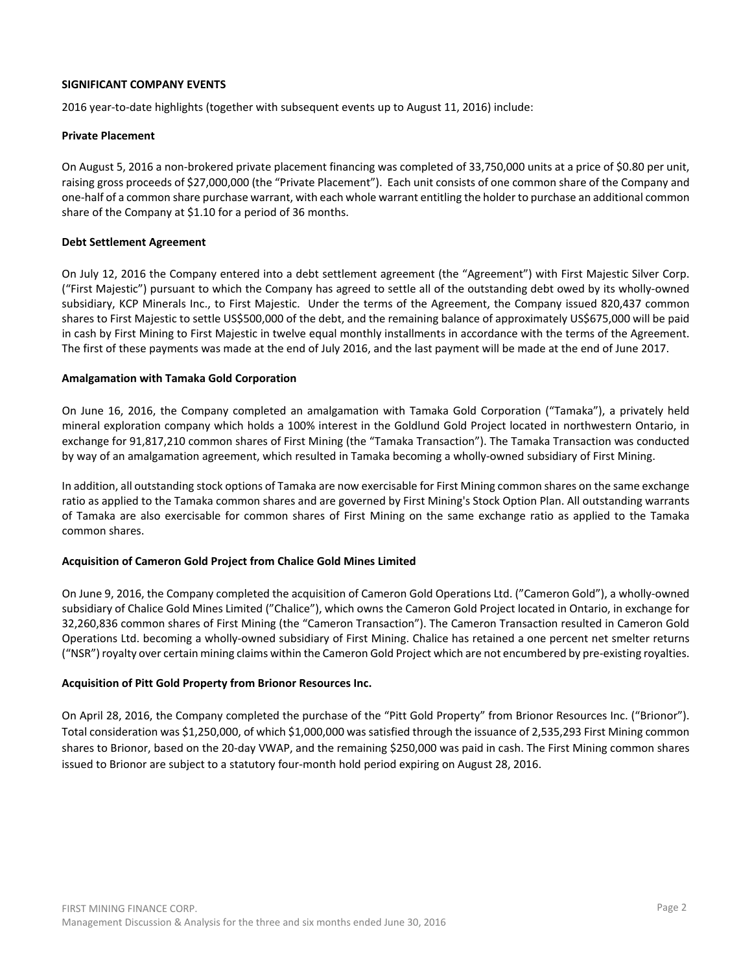### **SIGNIFICANT COMPANY EVENTS**

2016 year-to-date highlights (together with subsequent events up to August 11, 2016) include:

### **Private Placement**

On August 5, 2016 a non-brokered private placement financing was completed of 33,750,000 units at a price of \$0.80 per unit, raising gross proceeds of \$27,000,000 (the "Private Placement"). Each unit consists of one common share of the Company and one-half of a common share purchase warrant, with each whole warrant entitling the holder to purchase an additional common share of the Company at \$1.10 for a period of 36 months.

### **Debt Settlement Agreement**

On July 12, 2016 the Company entered into a debt settlement agreement (the "Agreement") with First Majestic Silver Corp. ("First Majestic") pursuant to which the Company has agreed to settle all of the outstanding debt owed by its wholly-owned subsidiary, KCP Minerals Inc., to First Majestic. Under the terms of the Agreement, the Company issued 820,437 common shares to First Majestic to settle US\$500,000 of the debt, and the remaining balance of approximately US\$675,000 will be paid in cash by First Mining to First Majestic in twelve equal monthly installments in accordance with the terms of the Agreement. The first of these payments was made at the end of July 2016, and the last payment will be made at the end of June 2017.

### **Amalgamation with Tamaka Gold Corporation**

On June 16, 2016, the Company completed an amalgamation with Tamaka Gold Corporation ("Tamaka"), a privately held mineral exploration company which holds a 100% interest in the Goldlund Gold Project located in northwestern Ontario, in exchange for 91,817,210 common shares of First Mining (the "Tamaka Transaction"). The Tamaka Transaction was conducted by way of an amalgamation agreement, which resulted in Tamaka becoming a wholly-owned subsidiary of First Mining.

In addition, all outstanding stock options of Tamaka are now exercisable for First Mining common shares on the same exchange ratio as applied to the Tamaka common shares and are governed by First Mining's Stock Option Plan. All outstanding warrants of Tamaka are also exercisable for common shares of First Mining on the same exchange ratio as applied to the Tamaka common shares.

# **Acquisition of Cameron Gold Project from Chalice Gold Mines Limited**

On June 9, 2016, the Company completed the acquisition of Cameron Gold Operations Ltd. ("Cameron Gold"), a wholly-owned subsidiary of Chalice Gold Mines Limited ("Chalice"), which owns the Cameron Gold Project located in Ontario, in exchange for 32,260,836 common shares of First Mining (the "Cameron Transaction"). The Cameron Transaction resulted in Cameron Gold Operations Ltd. becoming a wholly-owned subsidiary of First Mining. Chalice has retained a one percent net smelter returns ("NSR") royalty over certain mining claims within the Cameron Gold Project which are not encumbered by pre-existing royalties.

# **Acquisition of Pitt Gold Property from Brionor Resources Inc.**

On April 28, 2016, the Company completed the purchase of the "Pitt Gold Property" from Brionor Resources Inc. ("Brionor"). Total consideration was \$1,250,000, of which \$1,000,000 was satisfied through the issuance of 2,535,293 First Mining common shares to Brionor, based on the 20-day VWAP, and the remaining \$250,000 was paid in cash. The First Mining common shares issued to Brionor are subject to a statutory four-month hold period expiring on August 28, 2016.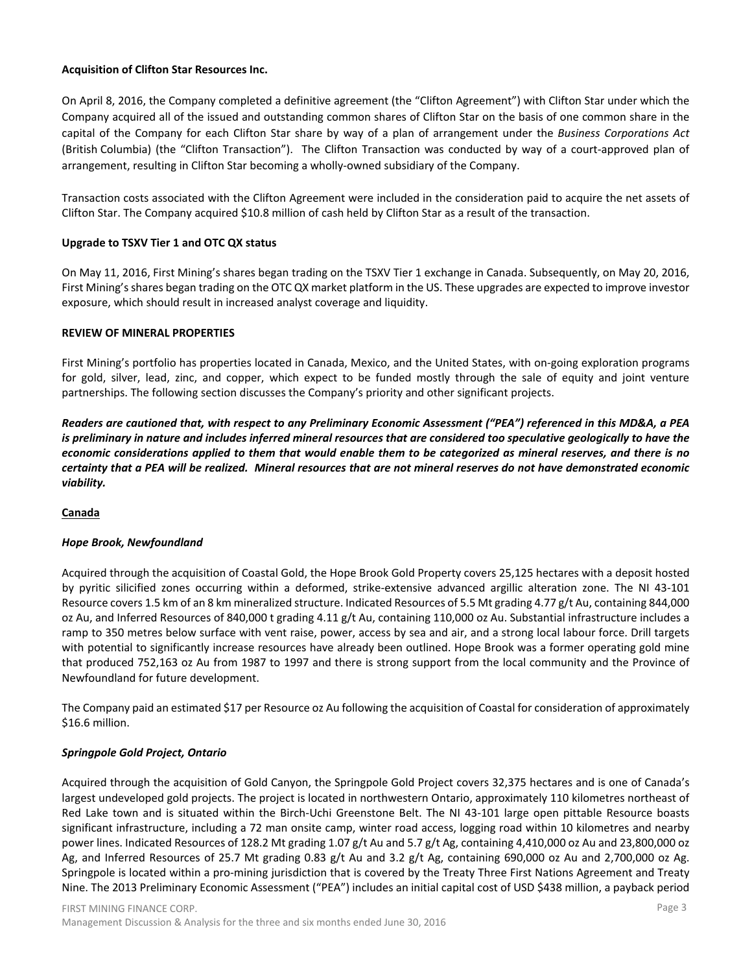### **Acquisition of Clifton Star Resources Inc.**

On April 8, 2016, the Company completed a definitive agreement (the "Clifton Agreement") with Clifton Star under which the Company acquired all of the issued and outstanding common shares of Clifton Star on the basis of one common share in the capital of the Company for each Clifton Star share by way of a plan of arrangement under the *Business Corporations Act* (British Columbia) (the "Clifton Transaction"). The Clifton Transaction was conducted by way of a court-approved plan of arrangement, resulting in Clifton Star becoming a wholly-owned subsidiary of the Company.

Transaction costs associated with the Clifton Agreement were included in the consideration paid to acquire the net assets of Clifton Star. The Company acquired \$10.8 million of cash held by Clifton Star as a result of the transaction.

# **Upgrade to TSXV Tier 1 and OTC QX status**

On May 11, 2016, First Mining's shares began trading on the TSXV Tier 1 exchange in Canada. Subsequently, on May 20, 2016, First Mining's shares began trading on the OTC QX market platform in the US. These upgrades are expected to improve investor exposure, which should result in increased analyst coverage and liquidity.

#### **REVIEW OF MINERAL PROPERTIES**

First Mining's portfolio has properties located in Canada, Mexico, and the United States, with on-going exploration programs for gold, silver, lead, zinc, and copper, which expect to be funded mostly through the sale of equity and joint venture partnerships. The following section discusses the Company's priority and other significant projects.

*Readers are cautioned that, with respect to any Preliminary Economic Assessment ("PEA") referenced in this MD&A, a PEA is preliminary in nature and includes inferred mineral resources that are considered too speculative geologically to have the economic considerations applied to them that would enable them to be categorized as mineral reserves, and there is no certainty that a PEA will be realized. Mineral resources that are not mineral reserves do not have demonstrated economic viability.*

# **Canada**

# *Hope Brook, Newfoundland*

Acquired through the acquisition of Coastal Gold, the Hope Brook Gold Property covers 25,125 hectares with a deposit hosted by pyritic silicified zones occurring within a deformed, strike-extensive advanced argillic alteration zone. The NI 43-101 Resource covers 1.5 km of an 8 km mineralized structure. Indicated Resources of 5.5 Mt grading 4.77 g/t Au, containing 844,000 oz Au, and Inferred Resources of 840,000 t grading 4.11 g/t Au, containing 110,000 oz Au. Substantial infrastructure includes a ramp to 350 metres below surface with vent raise, power, access by sea and air, and a strong local labour force. Drill targets with potential to significantly increase resources have already been outlined. Hope Brook was a former operating gold mine that produced 752,163 oz Au from 1987 to 1997 and there is strong support from the local community and the Province of Newfoundland for future development.

The Company paid an estimated \$17 per Resource oz Au following the acquisition of Coastal for consideration of approximately \$16.6 million.

# *Springpole Gold Project, Ontario*

Acquired through the acquisition of Gold Canyon, the Springpole Gold Project covers 32,375 hectares and is one of Canada's largest undeveloped gold projects. The project is located in northwestern Ontario, approximately 110 kilometres northeast of Red Lake town and is situated within the Birch-Uchi Greenstone Belt. The NI 43-101 large open pittable Resource boasts significant infrastructure, including a 72 man onsite camp, winter road access, logging road within 10 kilometres and nearby power lines. Indicated Resources of 128.2 Mt grading 1.07 g/t Au and 5.7 g/t Ag, containing 4,410,000 oz Au and 23,800,000 oz Ag, and Inferred Resources of 25.7 Mt grading 0.83 g/t Au and 3.2 g/t Ag, containing 690,000 oz Au and 2,700,000 oz Ag. Springpole is located within a pro-mining jurisdiction that is covered by the Treaty Three First Nations Agreement and Treaty Nine. The 2013 Preliminary Economic Assessment ("PEA") includes an initial capital cost of USD \$438 million, a payback period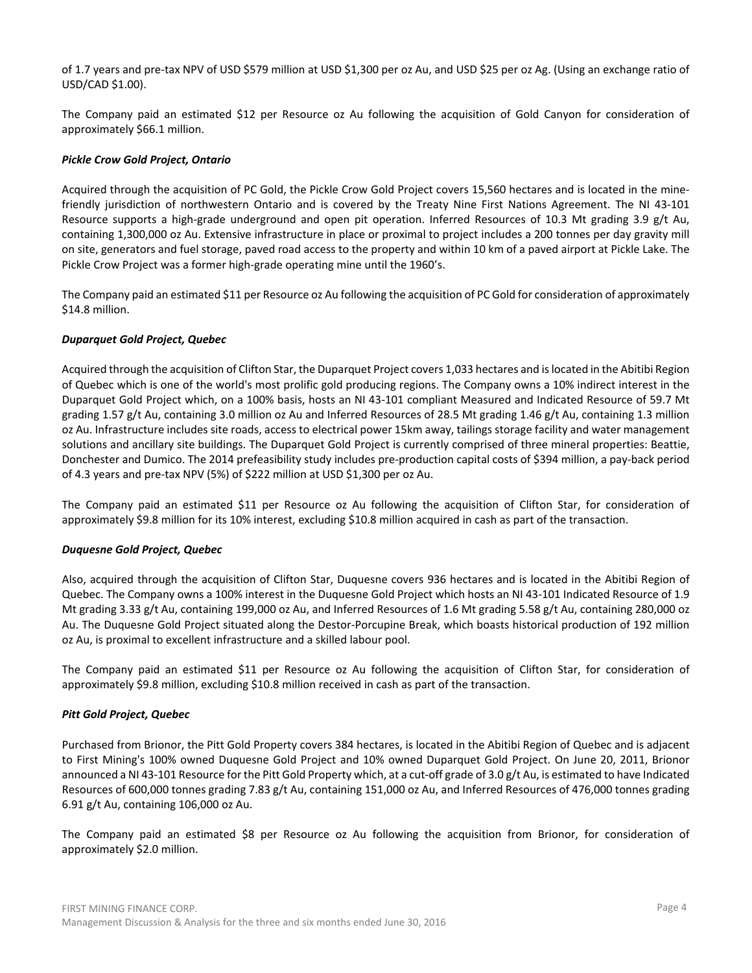of 1.7 years and pre-tax NPV of USD \$579 million at USD \$1,300 per oz Au, and USD \$25 per oz Ag. (Using an exchange ratio of USD/CAD \$1.00).

The Company paid an estimated \$12 per Resource oz Au following the acquisition of Gold Canyon for consideration of approximately \$66.1 million.

### *Pickle Crow Gold Project, Ontario*

Acquired through the acquisition of PC Gold, the Pickle Crow Gold Project covers 15,560 hectares and is located in the minefriendly jurisdiction of northwestern Ontario and is covered by the Treaty Nine First Nations Agreement. The NI 43-101 Resource supports a high-grade underground and open pit operation. Inferred Resources of 10.3 Mt grading 3.9 g/t Au, containing 1,300,000 oz Au. Extensive infrastructure in place or proximal to project includes a 200 tonnes per day gravity mill on site, generators and fuel storage, paved road access to the property and within 10 km of a paved airport at Pickle Lake. The Pickle Crow Project was a former high-grade operating mine until the 1960's.

The Company paid an estimated \$11 per Resource oz Au following the acquisition of PC Gold for consideration of approximately \$14.8 million.

### *Duparquet Gold Project, Quebec*

Acquired through the acquisition of Clifton Star, the Duparquet Project covers 1,033 hectares and is located in the Abitibi Region of Quebec which is one of the world's most prolific gold producing regions. The Company owns a 10% indirect interest in the Duparquet Gold Project which, on a 100% basis, hosts an NI 43-101 compliant Measured and Indicated Resource of 59.7 Mt grading 1.57 g/t Au, containing 3.0 million oz Au and Inferred Resources of 28.5 Mt grading 1.46 g/t Au, containing 1.3 million oz Au. Infrastructure includes site roads, access to electrical power 15km away, tailings storage facility and water management solutions and ancillary site buildings. The Duparquet Gold Project is currently comprised of three mineral properties: Beattie, Donchester and Dumico. The 2014 prefeasibility study includes pre-production capital costs of \$394 million, a pay-back period of 4.3 years and pre-tax NPV (5%) of \$222 million at USD \$1,300 per oz Au.

The Company paid an estimated \$11 per Resource oz Au following the acquisition of Clifton Star, for consideration of approximately \$9.8 million for its 10% interest, excluding \$10.8 million acquired in cash as part of the transaction.

#### *Duquesne Gold Project, Quebec*

Also, acquired through the acquisition of Clifton Star, Duquesne covers 936 hectares and is located in the Abitibi Region of Quebec. The Company owns a 100% interest in the Duquesne Gold Project which hosts an NI 43-101 Indicated Resource of 1.9 Mt grading 3.33 g/t Au, containing 199,000 oz Au, and Inferred Resources of 1.6 Mt grading 5.58 g/t Au, containing 280,000 oz Au. The Duquesne Gold Project situated along the Destor-Porcupine Break, which boasts historical production of 192 million oz Au, is proximal to excellent infrastructure and a skilled labour pool.

The Company paid an estimated \$11 per Resource oz Au following the acquisition of Clifton Star, for consideration of approximately \$9.8 million, excluding \$10.8 million received in cash as part of the transaction.

#### *Pitt Gold Project, Quebec*

Purchased from Brionor, the Pitt Gold Property covers 384 hectares, is located in the Abitibi Region of Quebec and is adjacent to First Mining's 100% owned Duquesne Gold Project and 10% owned Duparquet Gold Project. On June 20, 2011, Brionor announced a NI 43-101 Resource for the Pitt Gold Property which, at a cut-off grade of 3.0 g/t Au, is estimated to have Indicated Resources of 600,000 tonnes grading 7.83 g/t Au, containing 151,000 oz Au, and Inferred Resources of 476,000 tonnes grading 6.91 g/t Au, containing 106,000 oz Au.

The Company paid an estimated \$8 per Resource oz Au following the acquisition from Brionor, for consideration of approximately \$2.0 million.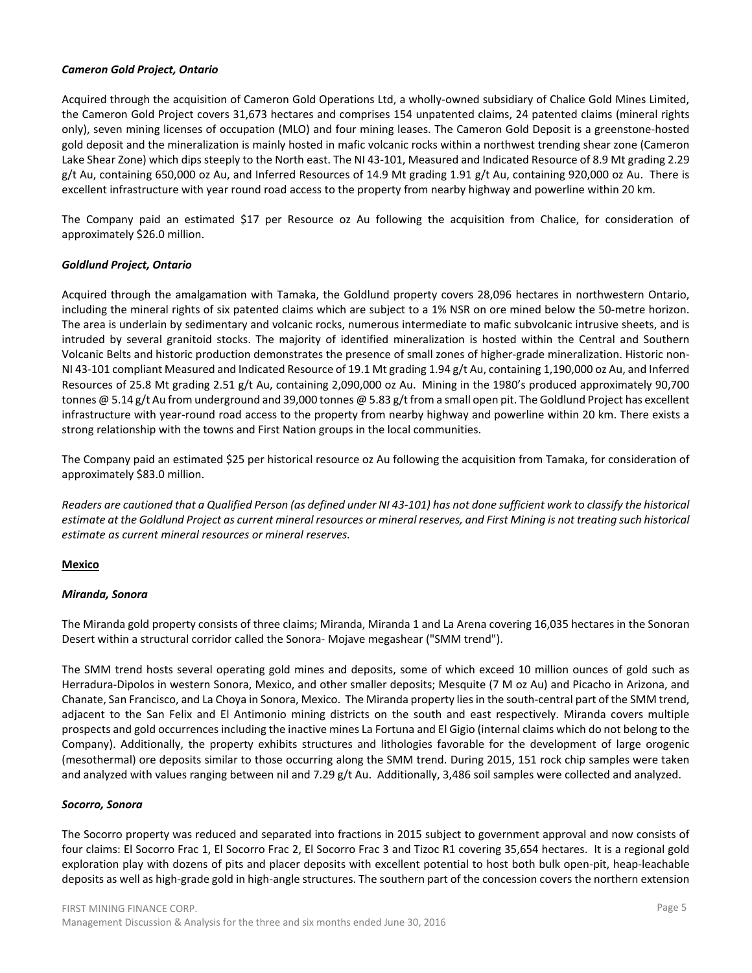### *Cameron Gold Project, Ontario*

Acquired through the acquisition of Cameron Gold Operations Ltd, a wholly-owned subsidiary of Chalice Gold Mines Limited, the Cameron Gold Project covers 31,673 hectares and comprises 154 unpatented claims, 24 patented claims (mineral rights only), seven mining licenses of occupation (MLO) and four mining leases. The Cameron Gold Deposit is a greenstone-hosted gold deposit and the mineralization is mainly hosted in mafic volcanic rocks within a northwest trending shear zone (Cameron Lake Shear Zone) which dips steeply to the North east. The NI 43-101, Measured and Indicated Resource of 8.9 Mt grading 2.29  $g/t$  Au, containing 650,000 oz Au, and Inferred Resources of 14.9 Mt grading 1.91  $g/t$  Au, containing 920,000 oz Au. There is excellent infrastructure with year round road access to the property from nearby highway and powerline within 20 km.

The Company paid an estimated \$17 per Resource oz Au following the acquisition from Chalice, for consideration of approximately \$26.0 million.

# *Goldlund Project, Ontario*

Acquired through the amalgamation with Tamaka, the Goldlund property covers 28,096 hectares in northwestern Ontario, including the mineral rights of six patented claims which are subject to a 1% NSR on ore mined below the 50-metre horizon. The area is underlain by sedimentary and volcanic rocks, numerous intermediate to mafic subvolcanic intrusive sheets, and is intruded by several granitoid stocks. The majority of identified mineralization is hosted within the Central and Southern Volcanic Belts and historic production demonstrates the presence of small zones of higher-grade mineralization. Historic non-NI 43-101 compliant Measured and Indicated Resource of 19.1 Mt grading 1.94 g/t Au, containing 1,190,000 oz Au, and Inferred Resources of 25.8 Mt grading 2.51 g/t Au, containing 2,090,000 oz Au. Mining in the 1980's produced approximately 90,700 tonnes @ 5.14 g/t Au from underground and 39,000 tonnes @ 5.83 g/t from a small open pit. The Goldlund Project has excellent infrastructure with year-round road access to the property from nearby highway and powerline within 20 km. There exists a strong relationship with the towns and First Nation groups in the local communities.

The Company paid an estimated \$25 per historical resource oz Au following the acquisition from Tamaka, for consideration of approximately \$83.0 million.

*Readers are cautioned that a Qualified Person (as defined under NI 43-101) has not done sufficient work to classify the historical estimate at the Goldlund Project as current mineral resources or mineral reserves, and First Mining is not treating such historical estimate as current mineral resources or mineral reserves.*

# **Mexico**

# *Miranda, Sonora*

The Miranda gold property consists of three claims; Miranda, Miranda 1 and La Arena covering 16,035 hectares in the Sonoran Desert within a structural corridor called the Sonora- Mojave megashear ("SMM trend").

The SMM trend hosts several operating gold mines and deposits, some of which exceed 10 million ounces of gold such as Herradura-Dipolos in western Sonora, Mexico, and other smaller deposits; Mesquite (7 M oz Au) and Picacho in Arizona, and Chanate, San Francisco, and La Choya in Sonora, Mexico. The Miranda property lies in the south-central part of the SMM trend, adjacent to the San Felix and El Antimonio mining districts on the south and east respectively. Miranda covers multiple prospects and gold occurrences including the inactive mines La Fortuna and El Gigio (internal claims which do not belong to the Company). Additionally, the property exhibits structures and lithologies favorable for the development of large orogenic (mesothermal) ore deposits similar to those occurring along the SMM trend. During 2015, 151 rock chip samples were taken and analyzed with values ranging between nil and 7.29 g/t Au. Additionally, 3,486 soil samples were collected and analyzed.

#### *Socorro, Sonora*

The Socorro property was reduced and separated into fractions in 2015 subject to government approval and now consists of four claims: El Socorro Frac 1, El Socorro Frac 2, El Socorro Frac 3 and Tizoc R1 covering 35,654 hectares. It is a regional gold exploration play with dozens of pits and placer deposits with excellent potential to host both bulk open-pit, heap-leachable deposits as well as high-grade gold in high-angle structures. The southern part of the concession covers the northern extension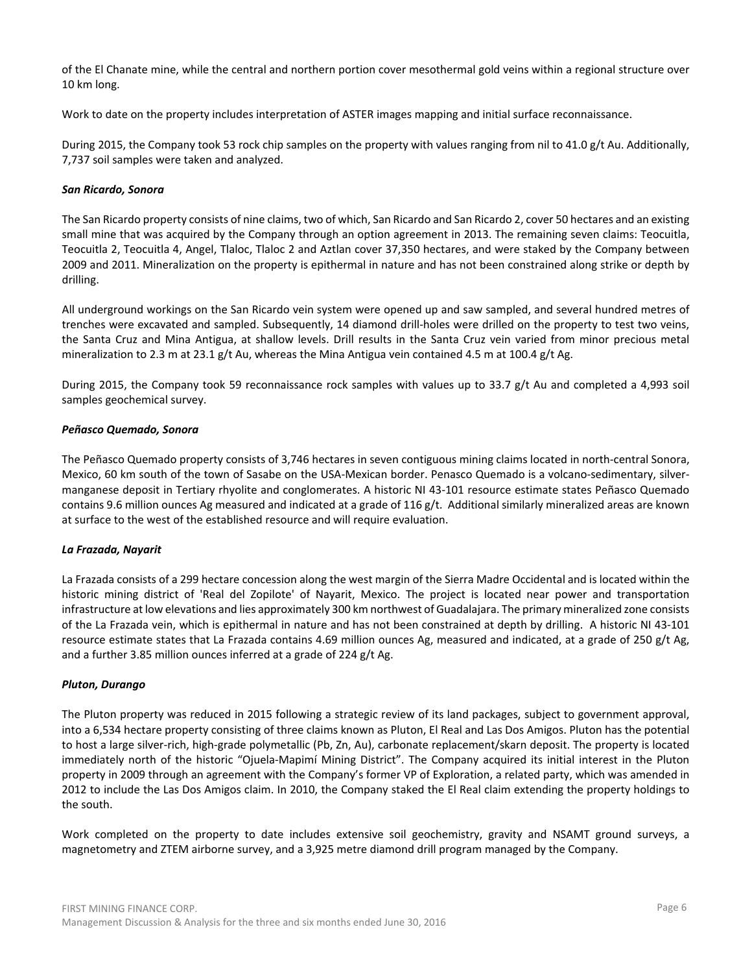of the El Chanate mine, while the central and northern portion cover mesothermal gold veins within a regional structure over 10 km long.

Work to date on the property includes interpretation of ASTER images mapping and initial surface reconnaissance.

During 2015, the Company took 53 rock chip samples on the property with values ranging from nil to 41.0 g/t Au. Additionally, 7,737 soil samples were taken and analyzed.

# *San Ricardo, Sonora*

The San Ricardo property consists of nine claims, two of which, San Ricardo and San Ricardo 2, cover 50 hectares and an existing small mine that was acquired by the Company through an option agreement in 2013. The remaining seven claims: Teocuitla, Teocuitla 2, Teocuitla 4, Angel, Tlaloc, Tlaloc 2 and Aztlan cover 37,350 hectares, and were staked by the Company between 2009 and 2011. Mineralization on the property is epithermal in nature and has not been constrained along strike or depth by drilling.

All underground workings on the San Ricardo vein system were opened up and saw sampled, and several hundred metres of trenches were excavated and sampled. Subsequently, 14 diamond drill-holes were drilled on the property to test two veins, the Santa Cruz and Mina Antigua, at shallow levels. Drill results in the Santa Cruz vein varied from minor precious metal mineralization to 2.3 m at 23.1 g/t Au, whereas the Mina Antigua vein contained 4.5 m at 100.4 g/t Ag.

During 2015, the Company took 59 reconnaissance rock samples with values up to 33.7 g/t Au and completed a 4,993 soil samples geochemical survey.

### *Peñasco Quemado, Sonora*

The Peñasco Quemado property consists of 3,746 hectares in seven contiguous mining claims located in north-central Sonora, Mexico, 60 km south of the town of Sasabe on the USA-Mexican border. Penasco Quemado is a volcano-sedimentary, silvermanganese deposit in Tertiary rhyolite and conglomerates. A historic NI 43-101 resource estimate states Peñasco Quemado contains 9.6 million ounces Ag measured and indicated at a grade of  $116 g/t$ . Additional similarly mineralized areas are known at surface to the west of the established resource and will require evaluation.

# *La Frazada, Nayarit*

La Frazada consists of a 299 hectare concession along the west margin of the Sierra Madre Occidental and is located within the historic mining district of 'Real del Zopilote' of Nayarit, Mexico. The project is located near power and transportation infrastructure at low elevations and lies approximately 300 km northwest of Guadalajara. The primary mineralized zone consists of the La Frazada vein, which is epithermal in nature and has not been constrained at depth by drilling. A historic NI 43-101 resource estimate states that La Frazada contains 4.69 million ounces Ag, measured and indicated, at a grade of 250 g/t Ag, and a further 3.85 million ounces inferred at a grade of 224 g/t Ag.

#### *Pluton, Durango*

The Pluton property was reduced in 2015 following a strategic review of its land packages, subject to government approval, into a 6,534 hectare property consisting of three claims known as Pluton, El Real and Las Dos Amigos. Pluton has the potential to host a large silver-rich, high-grade polymetallic (Pb, Zn, Au), carbonate replacement/skarn deposit. The property is located immediately north of the historic "Ojuela-Mapimí Mining District". The Company acquired its initial interest in the Pluton property in 2009 through an agreement with the Company's former VP of Exploration, a related party, which was amended in 2012 to include the Las Dos Amigos claim. In 2010, the Company staked the El Real claim extending the property holdings to the south.

Work completed on the property to date includes extensive soil geochemistry, gravity and NSAMT ground surveys, a magnetometry and ZTEM airborne survey, and a 3,925 metre diamond drill program managed by the Company.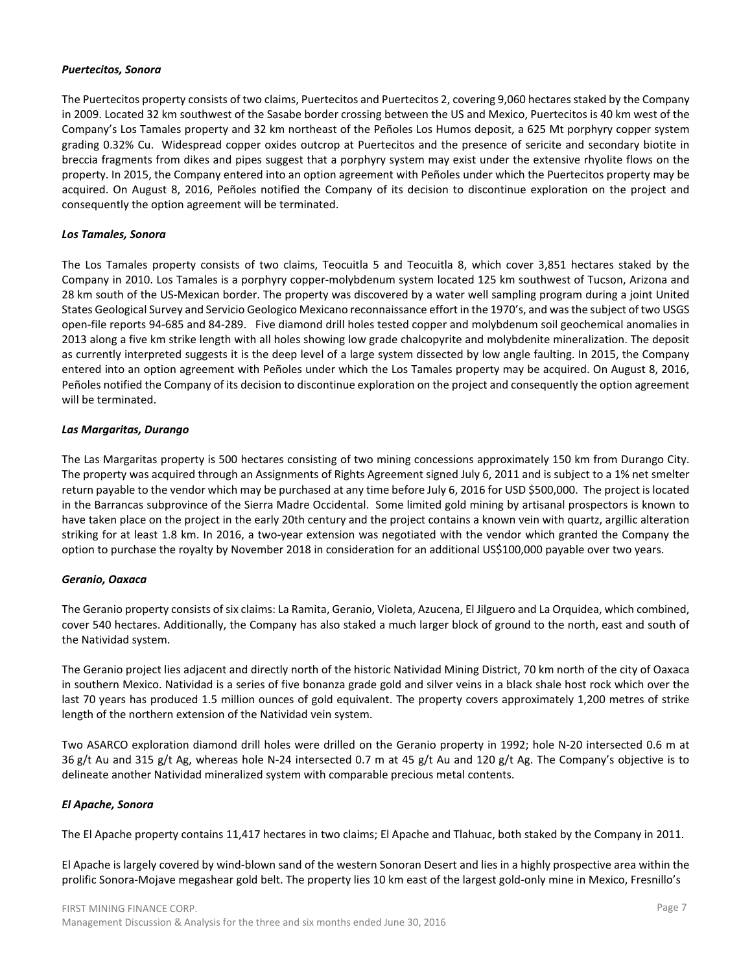#### *Puertecitos, Sonora*

The Puertecitos property consists of two claims, Puertecitos and Puertecitos 2, covering 9,060 hectares staked by the Company in 2009. Located 32 km southwest of the Sasabe border crossing between the US and Mexico, Puertecitos is 40 km west of the Company's Los Tamales property and 32 km northeast of the Peñoles Los Humos deposit, a 625 Mt porphyry copper system grading 0.32% Cu. Widespread copper oxides outcrop at Puertecitos and the presence of sericite and secondary biotite in breccia fragments from dikes and pipes suggest that a porphyry system may exist under the extensive rhyolite flows on the property. In 2015, the Company entered into an option agreement with Peñoles under which the Puertecitos property may be acquired. On August 8, 2016, Peñoles notified the Company of its decision to discontinue exploration on the project and consequently the option agreement will be terminated.

### *Los Tamales, Sonora*

The Los Tamales property consists of two claims, Teocuitla 5 and Teocuitla 8, which cover 3,851 hectares staked by the Company in 2010. Los Tamales is a porphyry copper-molybdenum system located 125 km southwest of Tucson, Arizona and 28 km south of the US-Mexican border. The property was discovered by a water well sampling program during a joint United States Geological Survey and Servicio Geologico Mexicano reconnaissance effort in the 1970's, and was the subject of two USGS open-file reports 94-685 and 84-289. Five diamond drill holes tested copper and molybdenum soil geochemical anomalies in 2013 along a five km strike length with all holes showing low grade chalcopyrite and molybdenite mineralization. The deposit as currently interpreted suggests it is the deep level of a large system dissected by low angle faulting. In 2015, the Company entered into an option agreement with Peñoles under which the Los Tamales property may be acquired. On August 8, 2016, Peñoles notified the Company of its decision to discontinue exploration on the project and consequently the option agreement will be terminated.

### *Las Margaritas, Durango*

The Las Margaritas property is 500 hectares consisting of two mining concessions approximately 150 km from Durango City. The property was acquired through an Assignments of Rights Agreement signed July 6, 2011 and is subject to a 1% net smelter return payable to the vendor which may be purchased at any time before July 6, 2016 for USD \$500,000. The project is located in the Barrancas subprovince of the Sierra Madre Occidental. Some limited gold mining by artisanal prospectors is known to have taken place on the project in the early 20th century and the project contains a known vein with quartz, argillic alteration striking for at least 1.8 km. In 2016, a two-year extension was negotiated with the vendor which granted the Company the option to purchase the royalty by November 2018 in consideration for an additional US\$100,000 payable over two years.

# *Geranio, Oaxaca*

The Geranio property consists of six claims: La Ramita, Geranio, Violeta, Azucena, El Jilguero and La Orquidea, which combined, cover 540 hectares. Additionally, the Company has also staked a much larger block of ground to the north, east and south of the Natividad system.

The Geranio project lies adjacent and directly north of the historic Natividad Mining District, 70 km north of the city of Oaxaca in southern Mexico. Natividad is a series of five bonanza grade gold and silver veins in a black shale host rock which over the last 70 years has produced 1.5 million ounces of gold equivalent. The property covers approximately 1,200 metres of strike length of the northern extension of the Natividad vein system.

Two ASARCO exploration diamond drill holes were drilled on the Geranio property in 1992; hole N-20 intersected 0.6 m at 36 g/t Au and 315 g/t Ag, whereas hole N-24 intersected 0.7 m at 45 g/t Au and 120 g/t Ag. The Company's objective is to delineate another Natividad mineralized system with comparable precious metal contents.

# *El Apache, Sonora*

The El Apache property contains 11,417 hectares in two claims; El Apache and Tlahuac, both staked by the Company in 2011.

El Apache is largely covered by wind-blown sand of the western Sonoran Desert and lies in a highly prospective area within the prolific Sonora-Mojave megashear gold belt. The property lies 10 km east of the largest gold-only mine in Mexico, Fresnillo's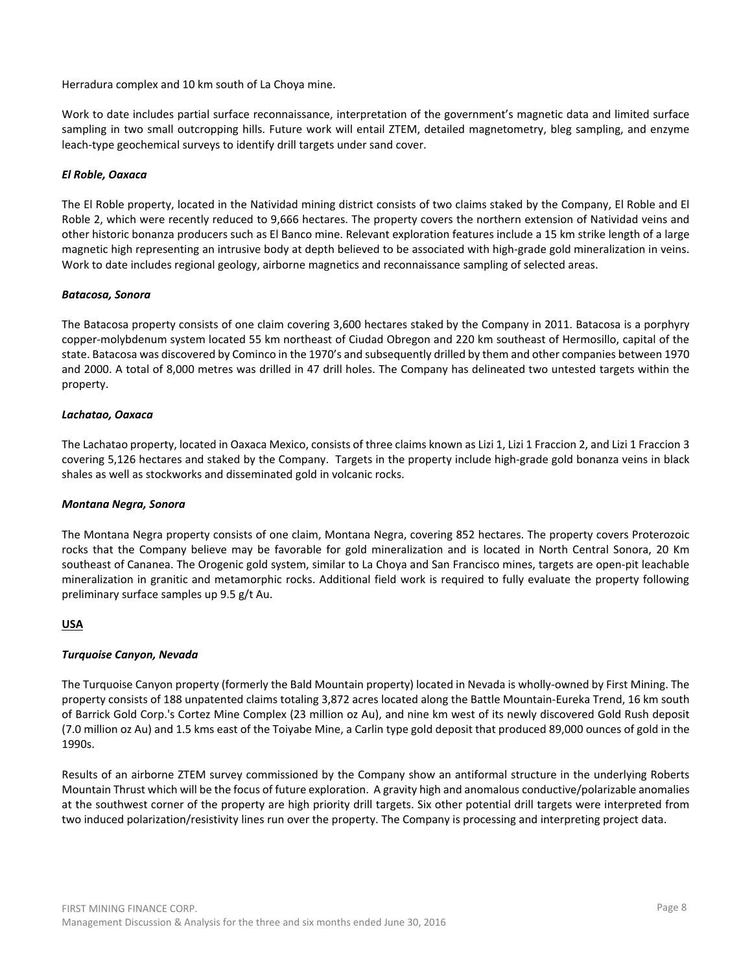Herradura complex and 10 km south of La Choya mine.

Work to date includes partial surface reconnaissance, interpretation of the government's magnetic data and limited surface sampling in two small outcropping hills. Future work will entail ZTEM, detailed magnetometry, bleg sampling, and enzyme leach-type geochemical surveys to identify drill targets under sand cover.

### *El Roble, Oaxaca*

The El Roble property, located in the Natividad mining district consists of two claims staked by the Company, El Roble and El Roble 2, which were recently reduced to 9,666 hectares. The property covers the northern extension of Natividad veins and other historic bonanza producers such as El Banco mine. Relevant exploration features include a 15 km strike length of a large magnetic high representing an intrusive body at depth believed to be associated with high-grade gold mineralization in veins. Work to date includes regional geology, airborne magnetics and reconnaissance sampling of selected areas.

### *Batacosa, Sonora*

The Batacosa property consists of one claim covering 3,600 hectares staked by the Company in 2011. Batacosa is a porphyry copper-molybdenum system located 55 km northeast of Ciudad Obregon and 220 km southeast of Hermosillo, capital of the state. Batacosa was discovered by Cominco in the 1970's and subsequently drilled by them and other companies between 1970 and 2000. A total of 8,000 metres was drilled in 47 drill holes. The Company has delineated two untested targets within the property.

### *Lachatao, Oaxaca*

The Lachatao property, located in Oaxaca Mexico, consists of three claims known as Lizi 1, Lizi 1 Fraccion 2, and Lizi 1 Fraccion 3 covering 5,126 hectares and staked by the Company. Targets in the property include high-grade gold bonanza veins in black shales as well as stockworks and disseminated gold in volcanic rocks.

#### *Montana Negra, Sonora*

The Montana Negra property consists of one claim, Montana Negra, covering 852 hectares. The property covers Proterozoic rocks that the Company believe may be favorable for gold mineralization and is located in North Central Sonora, 20 Km southeast of Cananea. The Orogenic gold system, similar to La Choya and San Francisco mines, targets are open-pit leachable mineralization in granitic and metamorphic rocks. Additional field work is required to fully evaluate the property following preliminary surface samples up 9.5 g/t Au.

# **USA**

#### *Turquoise Canyon, Nevada*

The Turquoise Canyon property (formerly the Bald Mountain property) located in Nevada is wholly-owned by First Mining. The property consists of 188 unpatented claims totaling 3,872 acres located along the Battle Mountain-Eureka Trend, 16 km south of Barrick Gold Corp.'s Cortez Mine Complex (23 million oz Au), and nine km west of its newly discovered Gold Rush deposit (7.0 million oz Au) and 1.5 kms east of the Toiyabe Mine, a Carlin type gold deposit that produced 89,000 ounces of gold in the 1990s.

Results of an airborne ZTEM survey commissioned by the Company show an antiformal structure in the underlying Roberts Mountain Thrust which will be the focus of future exploration. A gravity high and anomalous conductive/polarizable anomalies at the southwest corner of the property are high priority drill targets. Six other potential drill targets were interpreted from two induced polarization/resistivity lines run over the property. The Company is processing and interpreting project data.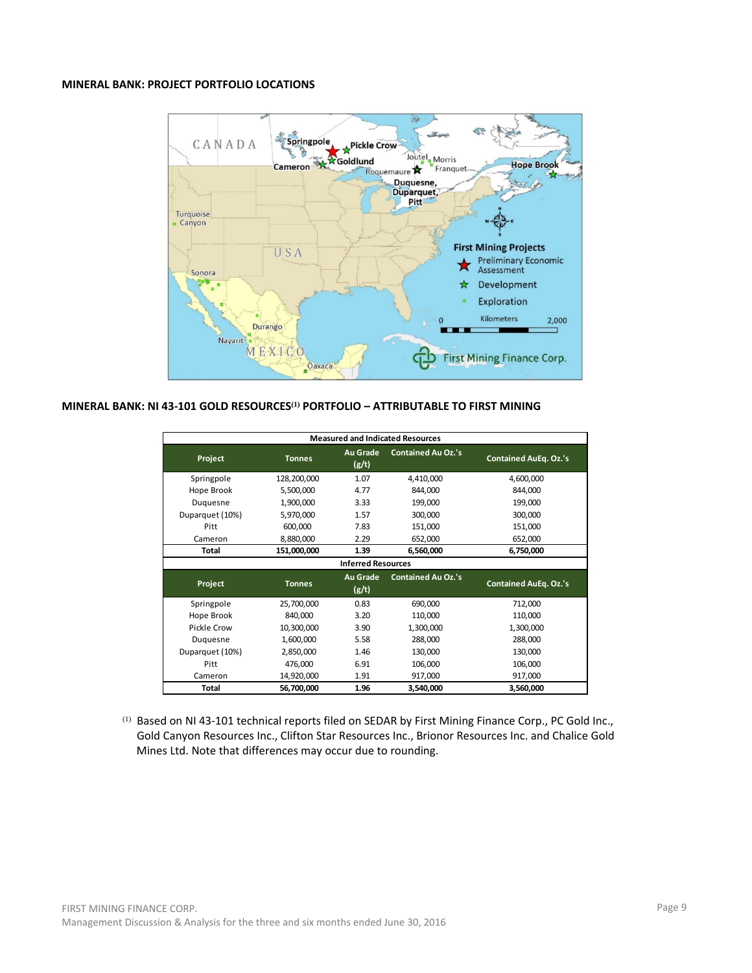# **MINERAL BANK: PROJECT PORTFOLIO LOCATIONS**



### **MINERAL BANK: NI 43-101 GOLD RESOURCES(1) PORTFOLIO – ATTRIBUTABLE TO FIRST MINING**

|                 | <b>Measured and Indicated Resources</b> |                           |                           |                              |  |  |  |  |  |  |  |  |  |  |  |
|-----------------|-----------------------------------------|---------------------------|---------------------------|------------------------------|--|--|--|--|--|--|--|--|--|--|--|
| Project         | <b>Tonnes</b>                           | <b>Au Grade</b><br>(g/t)  | <b>Contained Au Oz.'s</b> | <b>Contained AuEq. Oz.'s</b> |  |  |  |  |  |  |  |  |  |  |  |
| Springpole      | 128,200,000                             | 1.07                      | 4,410,000                 | 4,600,000                    |  |  |  |  |  |  |  |  |  |  |  |
| Hope Brook      | 5,500,000                               | 4.77                      | 844,000                   | 844,000                      |  |  |  |  |  |  |  |  |  |  |  |
| Duquesne        | 1,900,000                               | 3.33                      | 199,000                   | 199,000                      |  |  |  |  |  |  |  |  |  |  |  |
| Duparquet (10%) | 5,970,000                               | 1.57                      | 300,000                   | 300,000                      |  |  |  |  |  |  |  |  |  |  |  |
| Pitt            | 600,000                                 | 7.83                      | 151,000                   | 151,000                      |  |  |  |  |  |  |  |  |  |  |  |
| Cameron         | 8,880,000                               | 2.29                      | 652,000                   | 652,000                      |  |  |  |  |  |  |  |  |  |  |  |
| <b>Total</b>    | 151,000,000                             | 1.39                      | 6,560,000                 | 6,750,000                    |  |  |  |  |  |  |  |  |  |  |  |
|                 |                                         | <b>Inferred Resources</b> |                           |                              |  |  |  |  |  |  |  |  |  |  |  |
| Project         | <b>Tonnes</b>                           | <b>Au Grade</b><br>(g/t)  | <b>Contained Au Oz.'s</b> | <b>Contained AuEq. Oz.'s</b> |  |  |  |  |  |  |  |  |  |  |  |
| Springpole      | 25,700,000                              | 0.83                      | 690,000                   | 712,000                      |  |  |  |  |  |  |  |  |  |  |  |
| Hope Brook      | 840,000                                 | 3.20                      | 110,000                   | 110,000                      |  |  |  |  |  |  |  |  |  |  |  |
| Pickle Crow     | 10,300,000                              | 3.90                      | 1,300,000                 | 1,300,000                    |  |  |  |  |  |  |  |  |  |  |  |
| Duquesne        | 1,600,000                               | 5.58                      | 288,000                   | 288,000                      |  |  |  |  |  |  |  |  |  |  |  |
| Duparquet (10%) | 2,850,000                               | 1.46                      | 130,000                   | 130,000                      |  |  |  |  |  |  |  |  |  |  |  |
| Pitt            | 476,000                                 | 6.91                      | 106,000                   | 106,000                      |  |  |  |  |  |  |  |  |  |  |  |
| Cameron         | 14,920,000                              | 1.91                      | 917,000                   | 917,000                      |  |  |  |  |  |  |  |  |  |  |  |
| <b>Total</b>    | 56,700,000                              | 1.96                      | 3,540,000                 | 3,560,000                    |  |  |  |  |  |  |  |  |  |  |  |

(1) Based on NI 43-101 technical reports filed on SEDAR by First Mining Finance Corp., PC Gold Inc., Gold Canyon Resources Inc., Clifton Star Resources Inc., Brionor Resources Inc. and Chalice Gold Mines Ltd. Note that differences may occur due to rounding.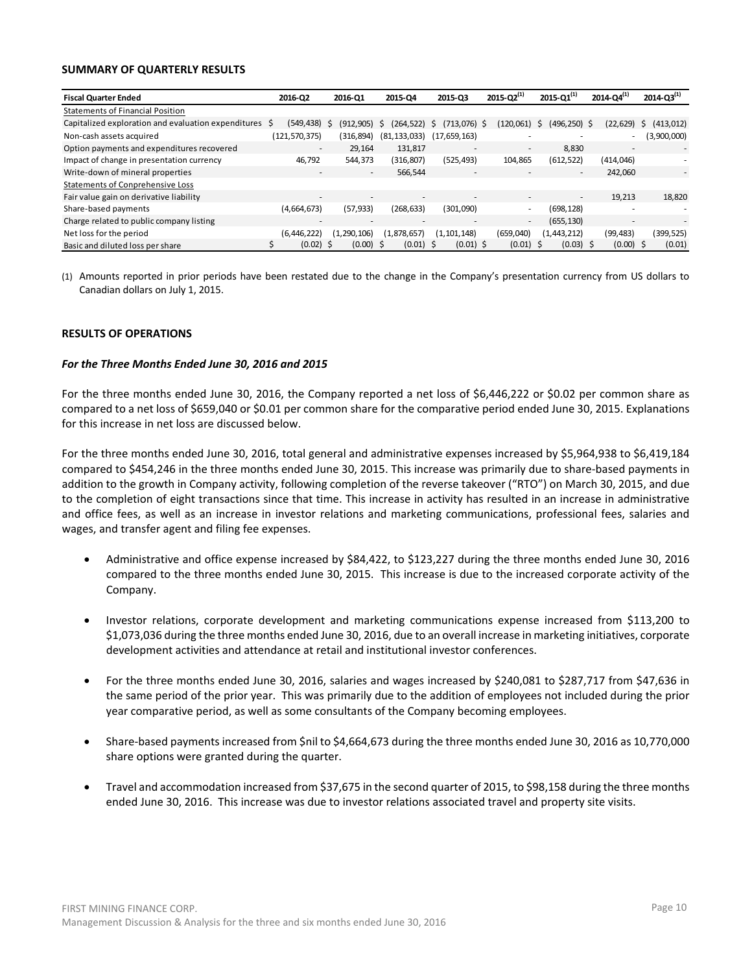#### **SUMMARY OF QUARTERLY RESULTS**

| <b>Fiscal Quarter Ended</b>                            | 2016-02       | 2016-Q1                         | 2015-04                  | 2015-03                  | $2015 - Q2^{(1)}$        | $2015 - 01^{(1)}$ | $2014 - Q4^{(1)}$        | $2014 - Q3^{(1)}$ |
|--------------------------------------------------------|---------------|---------------------------------|--------------------------|--------------------------|--------------------------|-------------------|--------------------------|-------------------|
| <b>Statements of Financial Position</b>                |               |                                 |                          |                          |                          |                   |                          |                   |
| Capitalized exploration and evaluation expenditures \$ | (549, 438)    | $(912, 905)$ \$<br><sub>S</sub> | (264.522)                | $(713,076)$ \$<br>S.     | (120.061)                | (496,250) \$<br>S | (22, 629)                | (413, 012)<br>S.  |
| Non-cash assets acquired                               | (121,570,375) | (316, 894)                      | (81, 133, 033)           | (17,659,163)             |                          |                   |                          | (3,900,000)       |
| Option payments and expenditures recovered             |               | 29.164                          | 131.817                  | $\overline{\phantom{a}}$ | $\sim$                   | 8.830             |                          | $\sim$            |
| Impact of change in presentation currency              | 46,792        | 544,373                         | (316, 807)               | (525, 493)               | 104,865                  | (612, 522)        | (414, 046)               |                   |
| Write-down of mineral properties                       | $\sim$        | $\overline{\phantom{a}}$        | 566,544                  | $\overline{\phantom{a}}$ |                          | $\sim$            | 242.060                  | $\sim$            |
| <b>Statements of Conprehensive Loss</b>                |               |                                 |                          |                          |                          |                   |                          |                   |
| Fair value gain on derivative liability                | $\sim$        |                                 | $\overline{\phantom{a}}$ | $\overline{\phantom{a}}$ | $\overline{\phantom{a}}$ | $\sim$            | 19,213                   | 18,820            |
| Share-based payments                                   | (4,664,673)   | (57, 933)                       | (268, 633)               | (301,090)                | $\overline{\phantom{a}}$ | (698, 128)        |                          |                   |
| Charge related to public company listing               |               | $\overline{\phantom{a}}$        |                          | $\overline{\phantom{a}}$ | $\overline{\phantom{a}}$ | (655, 130)        | $\overline{\phantom{a}}$ | -                 |
| Net loss for the period                                | (6,446,222)   | (1,290,106)                     | (1,878,657)              | (1, 101, 148)            | (659,040)                | (1,443,212)       | (99, 483)                | (399, 525)        |
| Basic and diluted loss per share                       | $(0.02)$ \$   | $(0.00)$ \$                     | $(0.01)$ \$              | $(0.01)$ \$              | $(0.01)$ \$              | $(0.03)$ \$       | $(0.00)$ \$              | (0.01)            |

(1) Amounts reported in prior periods have been restated due to the change in the Company's presentation currency from US dollars to Canadian dollars on July 1, 2015.

### **RESULTS OF OPERATIONS**

#### *For the Three Months Ended June 30, 2016 and 2015*

For the three months ended June 30, 2016, the Company reported a net loss of \$6,446,222 or \$0.02 per common share as compared to a net loss of \$659,040 or \$0.01 per common share for the comparative period ended June 30, 2015. Explanations for this increase in net loss are discussed below.

For the three months ended June 30, 2016, total general and administrative expenses increased by \$5,964,938 to \$6,419,184 compared to \$454,246 in the three months ended June 30, 2015. This increase was primarily due to share-based payments in addition to the growth in Company activity, following completion of the reverse takeover ("RTO") on March 30, 2015, and due to the completion of eight transactions since that time. This increase in activity has resulted in an increase in administrative and office fees, as well as an increase in investor relations and marketing communications, professional fees, salaries and wages, and transfer agent and filing fee expenses.

- Administrative and office expense increased by \$84,422, to \$123,227 during the three months ended June 30, 2016 compared to the three months ended June 30, 2015. This increase is due to the increased corporate activity of the Company.
- Investor relations, corporate development and marketing communications expense increased from \$113,200 to \$1,073,036 during the three months ended June 30, 2016, due to an overall increase in marketing initiatives, corporate development activities and attendance at retail and institutional investor conferences.
- For the three months ended June 30, 2016, salaries and wages increased by \$240,081 to \$287,717 from \$47,636 in the same period of the prior year. This was primarily due to the addition of employees not included during the prior year comparative period, as well as some consultants of the Company becoming employees.
- Share-based payments increased from \$nil to \$4,664,673 during the three months ended June 30, 2016 as 10,770,000 share options were granted during the quarter.
- Travel and accommodation increased from \$37,675 in the second quarter of 2015, to \$98,158 during the three months ended June 30, 2016. This increase was due to investor relations associated travel and property site visits.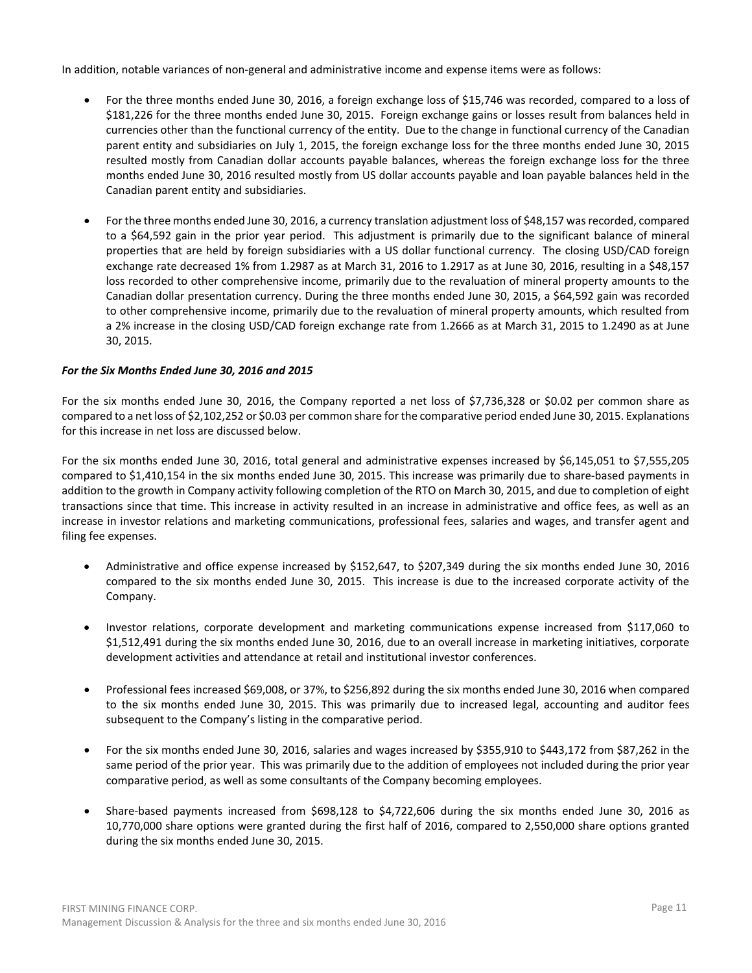In addition, notable variances of non-general and administrative income and expense items were as follows:

- For the three months ended June 30, 2016, a foreign exchange loss of \$15,746 was recorded, compared to a loss of \$181,226 for the three months ended June 30, 2015. Foreign exchange gains or losses result from balances held in currencies other than the functional currency of the entity. Due to the change in functional currency of the Canadian parent entity and subsidiaries on July 1, 2015, the foreign exchange loss for the three months ended June 30, 2015 resulted mostly from Canadian dollar accounts payable balances, whereas the foreign exchange loss for the three months ended June 30, 2016 resulted mostly from US dollar accounts payable and loan payable balances held in the Canadian parent entity and subsidiaries.
- For the three months ended June 30, 2016, a currency translation adjustment loss of \$48,157 was recorded, compared to a \$64,592 gain in the prior year period. This adjustment is primarily due to the significant balance of mineral properties that are held by foreign subsidiaries with a US dollar functional currency. The closing USD/CAD foreign exchange rate decreased 1% from 1.2987 as at March 31, 2016 to 1.2917 as at June 30, 2016, resulting in a \$48,157 loss recorded to other comprehensive income, primarily due to the revaluation of mineral property amounts to the Canadian dollar presentation currency. During the three months ended June 30, 2015, a \$64,592 gain was recorded to other comprehensive income, primarily due to the revaluation of mineral property amounts, which resulted from a 2% increase in the closing USD/CAD foreign exchange rate from 1.2666 as at March 31, 2015 to 1.2490 as at June 30, 2015.

# *For the Six Months Ended June 30, 2016 and 2015*

For the six months ended June 30, 2016, the Company reported a net loss of \$7,736,328 or \$0.02 per common share as compared to a net loss of \$2,102,252 or \$0.03 per common share for the comparative period ended June 30, 2015. Explanations for this increase in net loss are discussed below.

For the six months ended June 30, 2016, total general and administrative expenses increased by \$6,145,051 to \$7,555,205 compared to \$1,410,154 in the six months ended June 30, 2015. This increase was primarily due to share-based payments in addition to the growth in Company activity following completion of the RTO on March 30, 2015, and due to completion of eight transactions since that time. This increase in activity resulted in an increase in administrative and office fees, as well as an increase in investor relations and marketing communications, professional fees, salaries and wages, and transfer agent and filing fee expenses.

- Administrative and office expense increased by \$152,647, to \$207,349 during the six months ended June 30, 2016 compared to the six months ended June 30, 2015. This increase is due to the increased corporate activity of the Company.
- Investor relations, corporate development and marketing communications expense increased from \$117,060 to \$1,512,491 during the six months ended June 30, 2016, due to an overall increase in marketing initiatives, corporate development activities and attendance at retail and institutional investor conferences.
- Professional fees increased \$69,008, or 37%, to \$256,892 during the six months ended June 30, 2016 when compared to the six months ended June 30, 2015. This was primarily due to increased legal, accounting and auditor fees subsequent to the Company's listing in the comparative period.
- For the six months ended June 30, 2016, salaries and wages increased by \$355,910 to \$443,172 from \$87,262 in the same period of the prior year. This was primarily due to the addition of employees not included during the prior year comparative period, as well as some consultants of the Company becoming employees.
- Share-based payments increased from \$698,128 to \$4,722,606 during the six months ended June 30, 2016 as 10,770,000 share options were granted during the first half of 2016, compared to 2,550,000 share options granted during the six months ended June 30, 2015.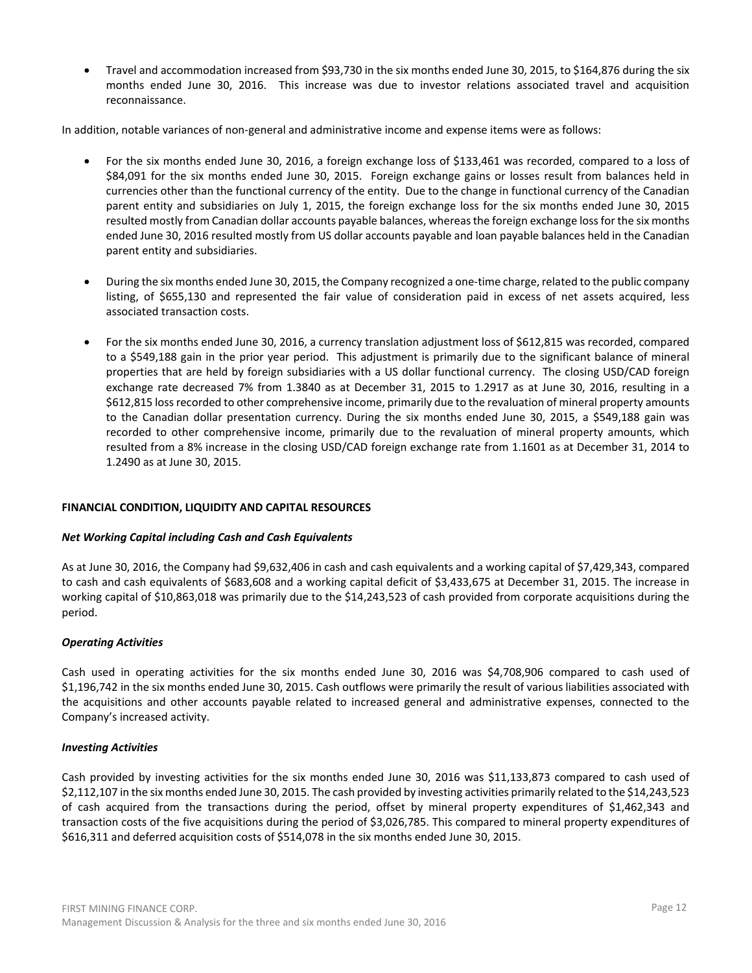• Travel and accommodation increased from \$93,730 in the six months ended June 30, 2015, to \$164,876 during the six months ended June 30, 2016. This increase was due to investor relations associated travel and acquisition reconnaissance.

In addition, notable variances of non-general and administrative income and expense items were as follows:

- For the six months ended June 30, 2016, a foreign exchange loss of \$133,461 was recorded, compared to a loss of \$84,091 for the six months ended June 30, 2015. Foreign exchange gains or losses result from balances held in currencies other than the functional currency of the entity. Due to the change in functional currency of the Canadian parent entity and subsidiaries on July 1, 2015, the foreign exchange loss for the six months ended June 30, 2015 resulted mostly from Canadian dollar accounts payable balances, whereas the foreign exchange loss for the six months ended June 30, 2016 resulted mostly from US dollar accounts payable and loan payable balances held in the Canadian parent entity and subsidiaries.
- During the six months ended June 30, 2015, the Company recognized a one-time charge, related to the public company listing, of \$655,130 and represented the fair value of consideration paid in excess of net assets acquired, less associated transaction costs.
- For the six months ended June 30, 2016, a currency translation adjustment loss of \$612,815 was recorded, compared to a \$549,188 gain in the prior year period. This adjustment is primarily due to the significant balance of mineral properties that are held by foreign subsidiaries with a US dollar functional currency. The closing USD/CAD foreign exchange rate decreased 7% from 1.3840 as at December 31, 2015 to 1.2917 as at June 30, 2016, resulting in a \$612,815 loss recorded to other comprehensive income, primarily due to the revaluation of mineral property amounts to the Canadian dollar presentation currency. During the six months ended June 30, 2015, a \$549,188 gain was recorded to other comprehensive income, primarily due to the revaluation of mineral property amounts, which resulted from a 8% increase in the closing USD/CAD foreign exchange rate from 1.1601 as at December 31, 2014 to 1.2490 as at June 30, 2015.

# **FINANCIAL CONDITION, LIQUIDITY AND CAPITAL RESOURCES**

#### *Net Working Capital including Cash and Cash Equivalents*

As at June 30, 2016, the Company had \$9,632,406 in cash and cash equivalents and a working capital of \$7,429,343, compared to cash and cash equivalents of \$683,608 and a working capital deficit of \$3,433,675 at December 31, 2015. The increase in working capital of \$10,863,018 was primarily due to the \$14,243,523 of cash provided from corporate acquisitions during the period.

#### *Operating Activities*

Cash used in operating activities for the six months ended June 30, 2016 was \$4,708,906 compared to cash used of \$1,196,742 in the six months ended June 30, 2015. Cash outflows were primarily the result of various liabilities associated with the acquisitions and other accounts payable related to increased general and administrative expenses, connected to the Company's increased activity.

#### *Investing Activities*

Cash provided by investing activities for the six months ended June 30, 2016 was \$11,133,873 compared to cash used of \$2,112,107 in the six months ended June 30, 2015. The cash provided by investing activities primarily related to the \$14,243,523 of cash acquired from the transactions during the period, offset by mineral property expenditures of \$1,462,343 and transaction costs of the five acquisitions during the period of \$3,026,785. This compared to mineral property expenditures of \$616,311 and deferred acquisition costs of \$514,078 in the six months ended June 30, 2015.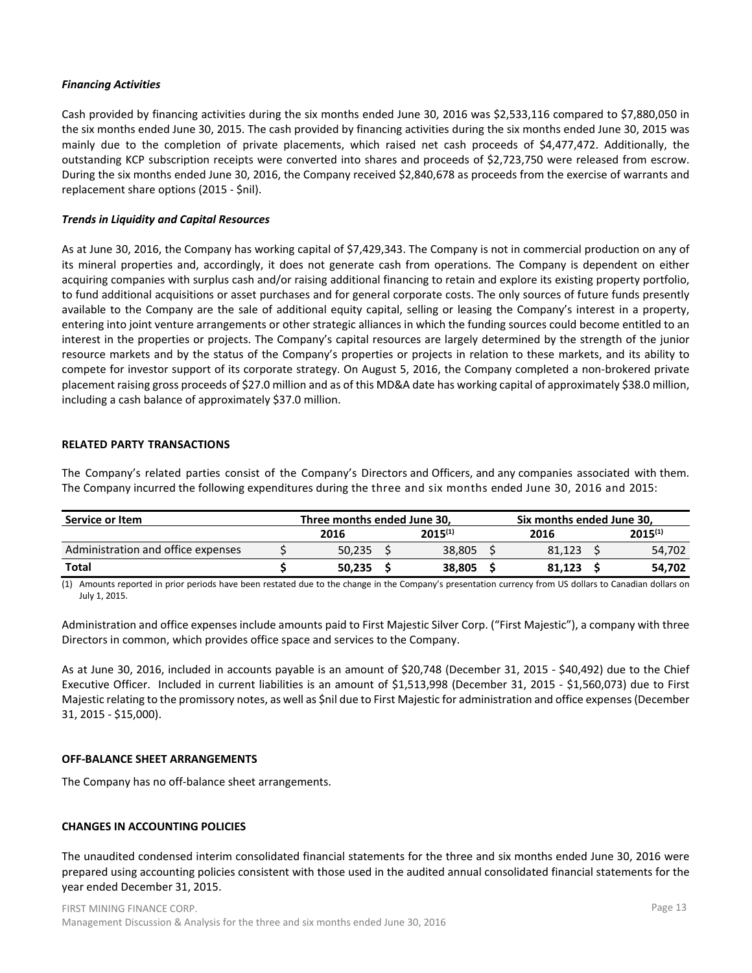# *Financing Activities*

Cash provided by financing activities during the six months ended June 30, 2016 was \$2,533,116 compared to \$7,880,050 in the six months ended June 30, 2015. The cash provided by financing activities during the six months ended June 30, 2015 was mainly due to the completion of private placements, which raised net cash proceeds of \$4,477,472. Additionally, the outstanding KCP subscription receipts were converted into shares and proceeds of \$2,723,750 were released from escrow. During the six months ended June 30, 2016, the Company received \$2,840,678 as proceeds from the exercise of warrants and replacement share options (2015 - \$nil).

### *Trends in Liquidity and Capital Resources*

As at June 30, 2016, the Company has working capital of \$7,429,343. The Company is not in commercial production on any of its mineral properties and, accordingly, it does not generate cash from operations. The Company is dependent on either acquiring companies with surplus cash and/or raising additional financing to retain and explore its existing property portfolio, to fund additional acquisitions or asset purchases and for general corporate costs. The only sources of future funds presently available to the Company are the sale of additional equity capital, selling or leasing the Company's interest in a property, entering into joint venture arrangements or other strategic alliances in which the funding sources could become entitled to an interest in the properties or projects. The Company's capital resources are largely determined by the strength of the junior resource markets and by the status of the Company's properties or projects in relation to these markets, and its ability to compete for investor support of its corporate strategy. On August 5, 2016, the Company completed a non-brokered private placement raising gross proceeds of \$27.0 million and as of this MD&A date has working capital of approximately \$38.0 million, including a cash balance of approximately \$37.0 million.

### **RELATED PARTY TRANSACTIONS**

The Company's related parties consist of the Company's Directors and Officers, and any companies associated with them. The Company incurred the following expenditures during the three and six months ended June 30, 2016 and 2015:

| Service or Item                    | Three months ended June 30. |              | Six months ended June 30, |        |  |              |  |  |  |
|------------------------------------|-----------------------------|--------------|---------------------------|--------|--|--------------|--|--|--|
|                                    | 2016                        | $2015^{(1)}$ |                           | 2016   |  | $2015^{(1)}$ |  |  |  |
| Administration and office expenses | 50.235                      | 38.805       |                           | 81.123 |  | 54.702       |  |  |  |
| <b>Total</b>                       | 50.235                      | 38.805       |                           | 81.123 |  | 54.702       |  |  |  |

(1) Amounts reported in prior periods have been restated due to the change in the Company's presentation currency from US dollars to Canadian dollars on July 1, 2015.

Administration and office expenses include amounts paid to First Majestic Silver Corp. ("First Majestic"), a company with three Directors in common, which provides office space and services to the Company.

As at June 30, 2016, included in accounts payable is an amount of \$20,748 (December 31, 2015 - \$40,492) due to the Chief Executive Officer. Included in current liabilities is an amount of \$1,513,998 (December 31, 2015 - \$1,560,073) due to First Majestic relating to the promissory notes, as well as \$nil due to First Majestic for administration and office expenses (December 31, 2015 - \$15,000).

#### **OFF-BALANCE SHEET ARRANGEMENTS**

The Company has no off-balance sheet arrangements.

# **CHANGES IN ACCOUNTING POLICIES**

The unaudited condensed interim consolidated financial statements for the three and six months ended June 30, 2016 were prepared using accounting policies consistent with those used in the audited annual consolidated financial statements for the year ended December 31, 2015.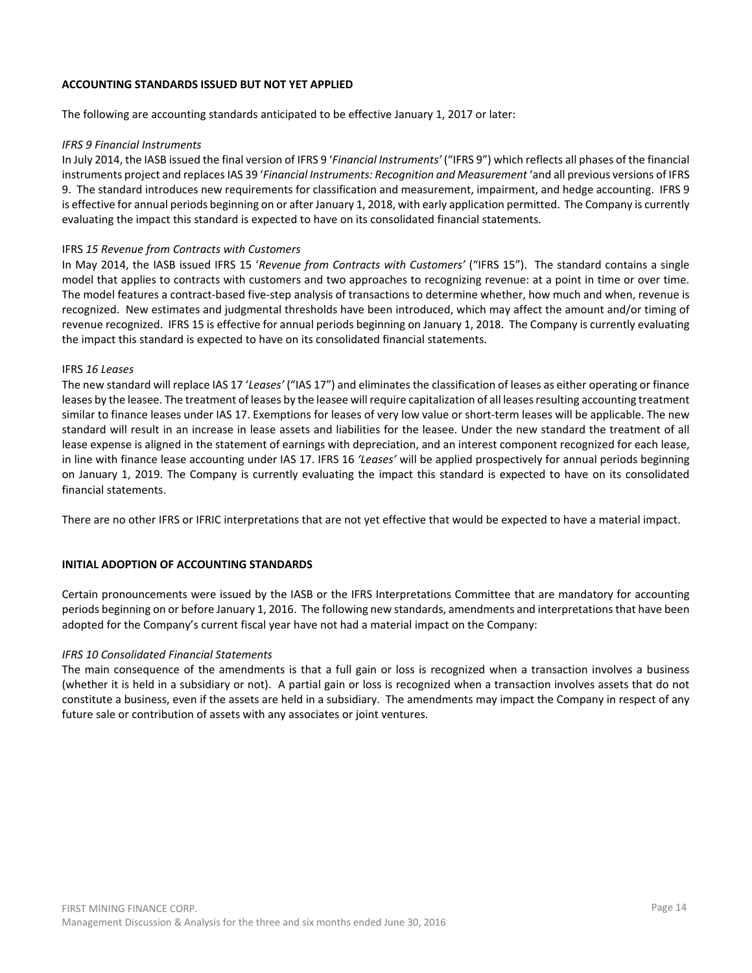### **ACCOUNTING STANDARDS ISSUED BUT NOT YET APPLIED**

The following are accounting standards anticipated to be effective January 1, 2017 or later:

### *IFRS 9 Financial Instruments*

In July 2014, the IASB issued the final version of IFRS 9 '*Financial Instruments'* ("IFRS 9") which reflects all phases of the financial instruments project and replaces IAS 39 '*Financial Instruments: Recognition and Measurement* 'and all previous versions of IFRS 9. The standard introduces new requirements for classification and measurement, impairment, and hedge accounting. IFRS 9 is effective for annual periods beginning on or after January 1, 2018, with early application permitted. The Company is currently evaluating the impact this standard is expected to have on its consolidated financial statements.

### IFRS *15 Revenue from Contracts with Customers*

In May 2014, the IASB issued IFRS 15 '*Revenue from Contracts with Customers'* ("IFRS 15"). The standard contains a single model that applies to contracts with customers and two approaches to recognizing revenue: at a point in time or over time. The model features a contract-based five-step analysis of transactions to determine whether, how much and when, revenue is recognized. New estimates and judgmental thresholds have been introduced, which may affect the amount and/or timing of revenue recognized. IFRS 15 is effective for annual periods beginning on January 1, 2018. The Company is currently evaluating the impact this standard is expected to have on its consolidated financial statements.

#### IFRS *16 Leases*

The new standard will replace IAS 17 '*Leases'* ("IAS 17") and eliminates the classification of leases as either operating or finance leases by the leasee. The treatment of leases by the leasee will require capitalization of all leases resulting accounting treatment similar to finance leases under IAS 17. Exemptions for leases of very low value or short-term leases will be applicable. The new standard will result in an increase in lease assets and liabilities for the leasee. Under the new standard the treatment of all lease expense is aligned in the statement of earnings with depreciation, and an interest component recognized for each lease, in line with finance lease accounting under IAS 17. IFRS 16 *'Leases'* will be applied prospectively for annual periods beginning on January 1, 2019. The Company is currently evaluating the impact this standard is expected to have on its consolidated financial statements.

There are no other IFRS or IFRIC interpretations that are not yet effective that would be expected to have a material impact.

# **INITIAL ADOPTION OF ACCOUNTING STANDARDS**

Certain pronouncements were issued by the IASB or the IFRS Interpretations Committee that are mandatory for accounting periods beginning on or before January 1, 2016. The following new standards, amendments and interpretations that have been adopted for the Company's current fiscal year have not had a material impact on the Company:

# *IFRS 10 Consolidated Financial Statements*

The main consequence of the amendments is that a full gain or loss is recognized when a transaction involves a business (whether it is held in a subsidiary or not). A partial gain or loss is recognized when a transaction involves assets that do not constitute a business, even if the assets are held in a subsidiary. The amendments may impact the Company in respect of any future sale or contribution of assets with any associates or joint ventures.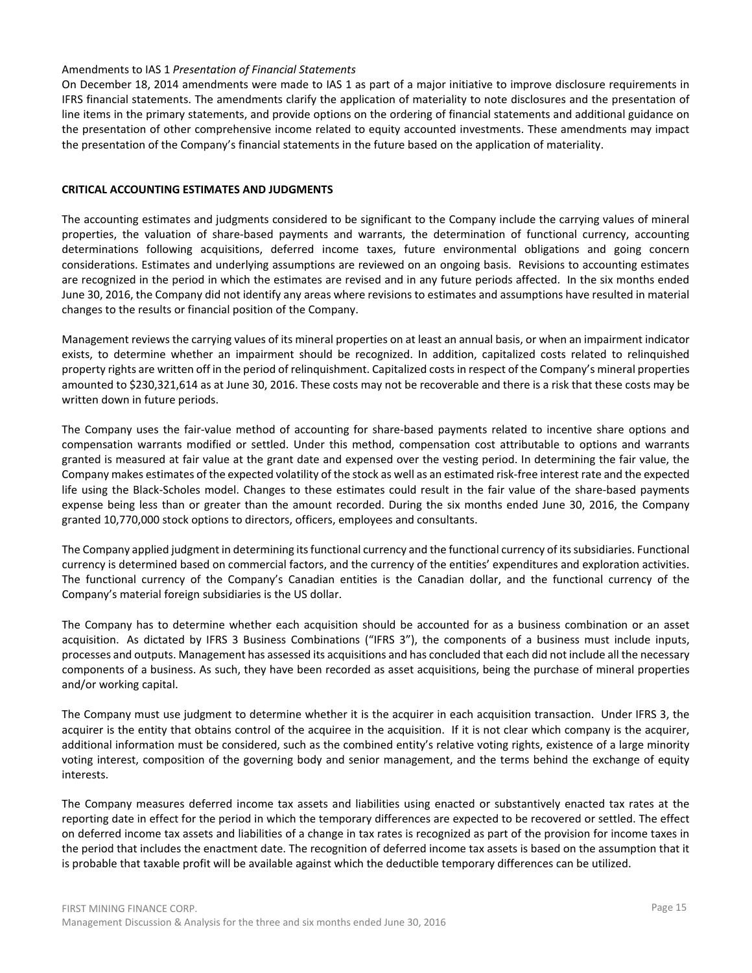### Amendments to IAS 1 *Presentation of Financial Statements*

On December 18, 2014 amendments were made to IAS 1 as part of a major initiative to improve disclosure requirements in IFRS financial statements. The amendments clarify the application of materiality to note disclosures and the presentation of line items in the primary statements, and provide options on the ordering of financial statements and additional guidance on the presentation of other comprehensive income related to equity accounted investments. These amendments may impact the presentation of the Company's financial statements in the future based on the application of materiality.

# **CRITICAL ACCOUNTING ESTIMATES AND JUDGMENTS**

The accounting estimates and judgments considered to be significant to the Company include the carrying values of mineral properties, the valuation of share-based payments and warrants, the determination of functional currency, accounting determinations following acquisitions, deferred income taxes, future environmental obligations and going concern considerations. Estimates and underlying assumptions are reviewed on an ongoing basis. Revisions to accounting estimates are recognized in the period in which the estimates are revised and in any future periods affected. In the six months ended June 30, 2016, the Company did not identify any areas where revisions to estimates and assumptions have resulted in material changes to the results or financial position of the Company.

Management reviews the carrying values of its mineral properties on at least an annual basis, or when an impairment indicator exists, to determine whether an impairment should be recognized. In addition, capitalized costs related to relinquished property rights are written off in the period of relinquishment. Capitalized costs in respect of the Company's mineral properties amounted to \$230,321,614 as at June 30, 2016. These costs may not be recoverable and there is a risk that these costs may be written down in future periods.

The Company uses the fair-value method of accounting for share-based payments related to incentive share options and compensation warrants modified or settled. Under this method, compensation cost attributable to options and warrants granted is measured at fair value at the grant date and expensed over the vesting period. In determining the fair value, the Company makes estimates of the expected volatility of the stock as well as an estimated risk-free interest rate and the expected life using the Black-Scholes model. Changes to these estimates could result in the fair value of the share-based payments expense being less than or greater than the amount recorded. During the six months ended June 30, 2016, the Company granted 10,770,000 stock options to directors, officers, employees and consultants.

The Company applied judgment in determining its functional currency and the functional currency of its subsidiaries. Functional currency is determined based on commercial factors, and the currency of the entities' expenditures and exploration activities. The functional currency of the Company's Canadian entities is the Canadian dollar, and the functional currency of the Company's material foreign subsidiaries is the US dollar.

The Company has to determine whether each acquisition should be accounted for as a business combination or an asset acquisition. As dictated by IFRS 3 Business Combinations ("IFRS 3"), the components of a business must include inputs, processes and outputs. Management has assessed its acquisitions and has concluded that each did not include all the necessary components of a business. As such, they have been recorded as asset acquisitions, being the purchase of mineral properties and/or working capital.

The Company must use judgment to determine whether it is the acquirer in each acquisition transaction. Under IFRS 3, the acquirer is the entity that obtains control of the acquiree in the acquisition. If it is not clear which company is the acquirer, additional information must be considered, such as the combined entity's relative voting rights, existence of a large minority voting interest, composition of the governing body and senior management, and the terms behind the exchange of equity interests.

The Company measures deferred income tax assets and liabilities using enacted or substantively enacted tax rates at the reporting date in effect for the period in which the temporary differences are expected to be recovered or settled. The effect on deferred income tax assets and liabilities of a change in tax rates is recognized as part of the provision for income taxes in the period that includes the enactment date. The recognition of deferred income tax assets is based on the assumption that it is probable that taxable profit will be available against which the deductible temporary differences can be utilized.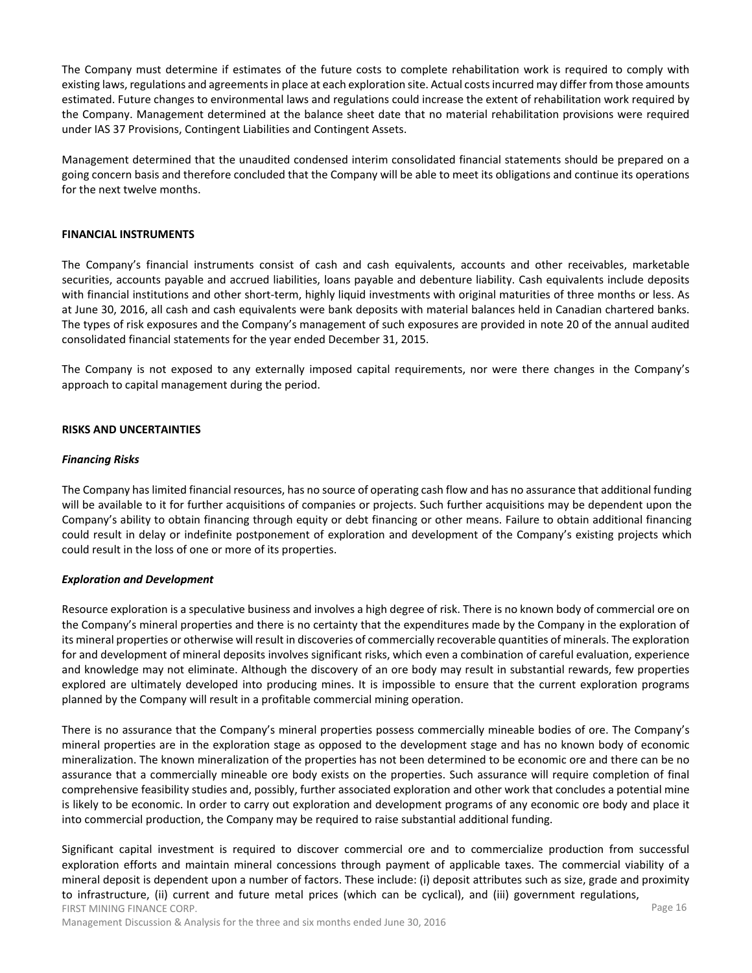The Company must determine if estimates of the future costs to complete rehabilitation work is required to comply with existing laws, regulations and agreements in place at each exploration site. Actual costs incurred may differ from those amounts estimated. Future changes to environmental laws and regulations could increase the extent of rehabilitation work required by the Company. Management determined at the balance sheet date that no material rehabilitation provisions were required under IAS 37 Provisions, Contingent Liabilities and Contingent Assets.

Management determined that the unaudited condensed interim consolidated financial statements should be prepared on a going concern basis and therefore concluded that the Company will be able to meet its obligations and continue its operations for the next twelve months.

### **FINANCIAL INSTRUMENTS**

The Company's financial instruments consist of cash and cash equivalents, accounts and other receivables, marketable securities, accounts payable and accrued liabilities, loans payable and debenture liability. Cash equivalents include deposits with financial institutions and other short-term, highly liquid investments with original maturities of three months or less. As at June 30, 2016, all cash and cash equivalents were bank deposits with material balances held in Canadian chartered banks. The types of risk exposures and the Company's management of such exposures are provided in note 20 of the annual audited consolidated financial statements for the year ended December 31, 2015.

The Company is not exposed to any externally imposed capital requirements, nor were there changes in the Company's approach to capital management during the period.

#### **RISKS AND UNCERTAINTIES**

#### *Financing Risks*

The Company has limited financial resources, has no source of operating cash flow and has no assurance that additional funding will be available to it for further acquisitions of companies or projects. Such further acquisitions may be dependent upon the Company's ability to obtain financing through equity or debt financing or other means. Failure to obtain additional financing could result in delay or indefinite postponement of exploration and development of the Company's existing projects which could result in the loss of one or more of its properties.

#### *Exploration and Development*

Resource exploration is a speculative business and involves a high degree of risk. There is no known body of commercial ore on the Company's mineral properties and there is no certainty that the expenditures made by the Company in the exploration of its mineral properties or otherwise will result in discoveries of commercially recoverable quantities of minerals. The exploration for and development of mineral deposits involves significant risks, which even a combination of careful evaluation, experience and knowledge may not eliminate. Although the discovery of an ore body may result in substantial rewards, few properties explored are ultimately developed into producing mines. It is impossible to ensure that the current exploration programs planned by the Company will result in a profitable commercial mining operation.

There is no assurance that the Company's mineral properties possess commercially mineable bodies of ore. The Company's mineral properties are in the exploration stage as opposed to the development stage and has no known body of economic mineralization. The known mineralization of the properties has not been determined to be economic ore and there can be no assurance that a commercially mineable ore body exists on the properties. Such assurance will require completion of final comprehensive feasibility studies and, possibly, further associated exploration and other work that concludes a potential mine is likely to be economic. In order to carry out exploration and development programs of any economic ore body and place it into commercial production, the Company may be required to raise substantial additional funding.

FIRST MINING FINANCE CORP. Significant capital investment is required to discover commercial ore and to commercialize production from successful exploration efforts and maintain mineral concessions through payment of applicable taxes. The commercial viability of a mineral deposit is dependent upon a number of factors. These include: (i) deposit attributes such as size, grade and proximity to infrastructure, (ii) current and future metal prices (which can be cyclical), and (iii) government regulations,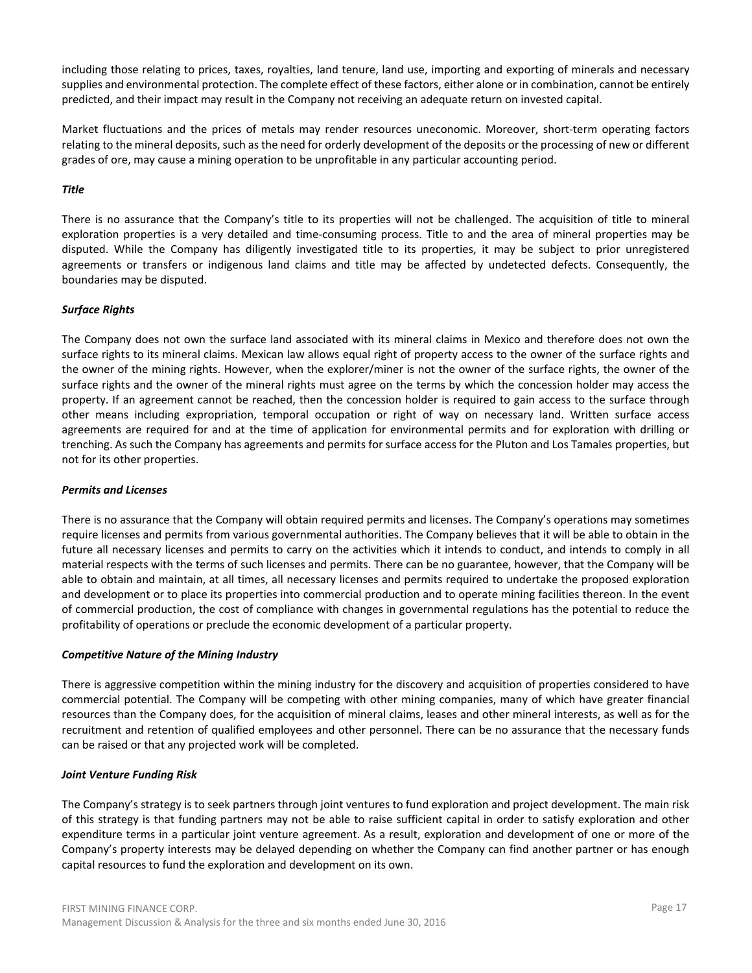including those relating to prices, taxes, royalties, land tenure, land use, importing and exporting of minerals and necessary supplies and environmental protection. The complete effect of these factors, either alone or in combination, cannot be entirely predicted, and their impact may result in the Company not receiving an adequate return on invested capital.

Market fluctuations and the prices of metals may render resources uneconomic. Moreover, short-term operating factors relating to the mineral deposits, such as the need for orderly development of the deposits or the processing of new or different grades of ore, may cause a mining operation to be unprofitable in any particular accounting period.

# *Title*

There is no assurance that the Company's title to its properties will not be challenged. The acquisition of title to mineral exploration properties is a very detailed and time-consuming process. Title to and the area of mineral properties may be disputed. While the Company has diligently investigated title to its properties, it may be subject to prior unregistered agreements or transfers or indigenous land claims and title may be affected by undetected defects. Consequently, the boundaries may be disputed.

# *Surface Rights*

The Company does not own the surface land associated with its mineral claims in Mexico and therefore does not own the surface rights to its mineral claims. Mexican law allows equal right of property access to the owner of the surface rights and the owner of the mining rights. However, when the explorer/miner is not the owner of the surface rights, the owner of the surface rights and the owner of the mineral rights must agree on the terms by which the concession holder may access the property. If an agreement cannot be reached, then the concession holder is required to gain access to the surface through other means including expropriation, temporal occupation or right of way on necessary land. Written surface access agreements are required for and at the time of application for environmental permits and for exploration with drilling or trenching. As such the Company has agreements and permits for surface access for the Pluton and Los Tamales properties, but not for its other properties.

# *Permits and Licenses*

There is no assurance that the Company will obtain required permits and licenses. The Company's operations may sometimes require licenses and permits from various governmental authorities. The Company believes that it will be able to obtain in the future all necessary licenses and permits to carry on the activities which it intends to conduct, and intends to comply in all material respects with the terms of such licenses and permits. There can be no guarantee, however, that the Company will be able to obtain and maintain, at all times, all necessary licenses and permits required to undertake the proposed exploration and development or to place its properties into commercial production and to operate mining facilities thereon. In the event of commercial production, the cost of compliance with changes in governmental regulations has the potential to reduce the profitability of operations or preclude the economic development of a particular property.

# *Competitive Nature of the Mining Industry*

There is aggressive competition within the mining industry for the discovery and acquisition of properties considered to have commercial potential. The Company will be competing with other mining companies, many of which have greater financial resources than the Company does, for the acquisition of mineral claims, leases and other mineral interests, as well as for the recruitment and retention of qualified employees and other personnel. There can be no assurance that the necessary funds can be raised or that any projected work will be completed.

# *Joint Venture Funding Risk*

The Company's strategy is to seek partners through joint ventures to fund exploration and project development. The main risk of this strategy is that funding partners may not be able to raise sufficient capital in order to satisfy exploration and other expenditure terms in a particular joint venture agreement. As a result, exploration and development of one or more of the Company's property interests may be delayed depending on whether the Company can find another partner or has enough capital resources to fund the exploration and development on its own.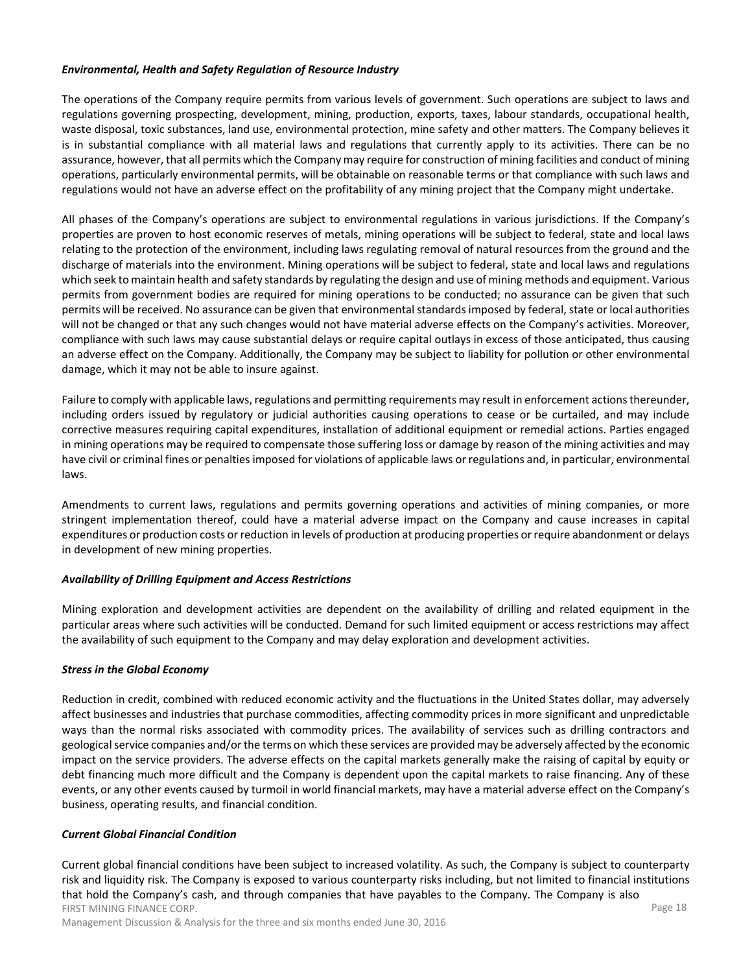### *Environmental, Health and Safety Regulation of Resource Industry*

The operations of the Company require permits from various levels of government. Such operations are subject to laws and regulations governing prospecting, development, mining, production, exports, taxes, labour standards, occupational health, waste disposal, toxic substances, land use, environmental protection, mine safety and other matters. The Company believes it is in substantial compliance with all material laws and regulations that currently apply to its activities. There can be no assurance, however, that all permits which the Company may require for construction of mining facilities and conduct of mining operations, particularly environmental permits, will be obtainable on reasonable terms or that compliance with such laws and regulations would not have an adverse effect on the profitability of any mining project that the Company might undertake.

All phases of the Company's operations are subject to environmental regulations in various jurisdictions. If the Company's properties are proven to host economic reserves of metals, mining operations will be subject to federal, state and local laws relating to the protection of the environment, including laws regulating removal of natural resources from the ground and the discharge of materials into the environment. Mining operations will be subject to federal, state and local laws and regulations which seek to maintain health and safety standards by regulating the design and use of mining methods and equipment. Various permits from government bodies are required for mining operations to be conducted; no assurance can be given that such permits will be received. No assurance can be given that environmental standards imposed by federal, state or local authorities will not be changed or that any such changes would not have material adverse effects on the Company's activities. Moreover, compliance with such laws may cause substantial delays or require capital outlays in excess of those anticipated, thus causing an adverse effect on the Company. Additionally, the Company may be subject to liability for pollution or other environmental damage, which it may not be able to insure against.

Failure to comply with applicable laws, regulations and permitting requirements may result in enforcement actions thereunder, including orders issued by regulatory or judicial authorities causing operations to cease or be curtailed, and may include corrective measures requiring capital expenditures, installation of additional equipment or remedial actions. Parties engaged in mining operations may be required to compensate those suffering loss or damage by reason of the mining activities and may have civil or criminal fines or penalties imposed for violations of applicable laws or regulations and, in particular, environmental laws.

Amendments to current laws, regulations and permits governing operations and activities of mining companies, or more stringent implementation thereof, could have a material adverse impact on the Company and cause increases in capital expenditures or production costs or reduction in levels of production at producing properties or require abandonment or delays in development of new mining properties.

# *Availability of Drilling Equipment and Access Restrictions*

Mining exploration and development activities are dependent on the availability of drilling and related equipment in the particular areas where such activities will be conducted. Demand for such limited equipment or access restrictions may affect the availability of such equipment to the Company and may delay exploration and development activities.

# *Stress in the Global Economy*

Reduction in credit, combined with reduced economic activity and the fluctuations in the United States dollar, may adversely affect businesses and industries that purchase commodities, affecting commodity prices in more significant and unpredictable ways than the normal risks associated with commodity prices. The availability of services such as drilling contractors and geological service companies and/or the terms on which these services are provided may be adversely affected by the economic impact on the service providers. The adverse effects on the capital markets generally make the raising of capital by equity or debt financing much more difficult and the Company is dependent upon the capital markets to raise financing. Any of these events, or any other events caused by turmoil in world financial markets, may have a material adverse effect on the Company's business, operating results, and financial condition.

#### *Current Global Financial Condition*

FIRST MINING FINANCE CORP. Page 18 Current global financial conditions have been subject to increased volatility. As such, the Company is subject to counterparty risk and liquidity risk. The Company is exposed to various counterparty risks including, but not limited to financial institutions that hold the Company's cash, and through companies that have payables to the Company. The Company is also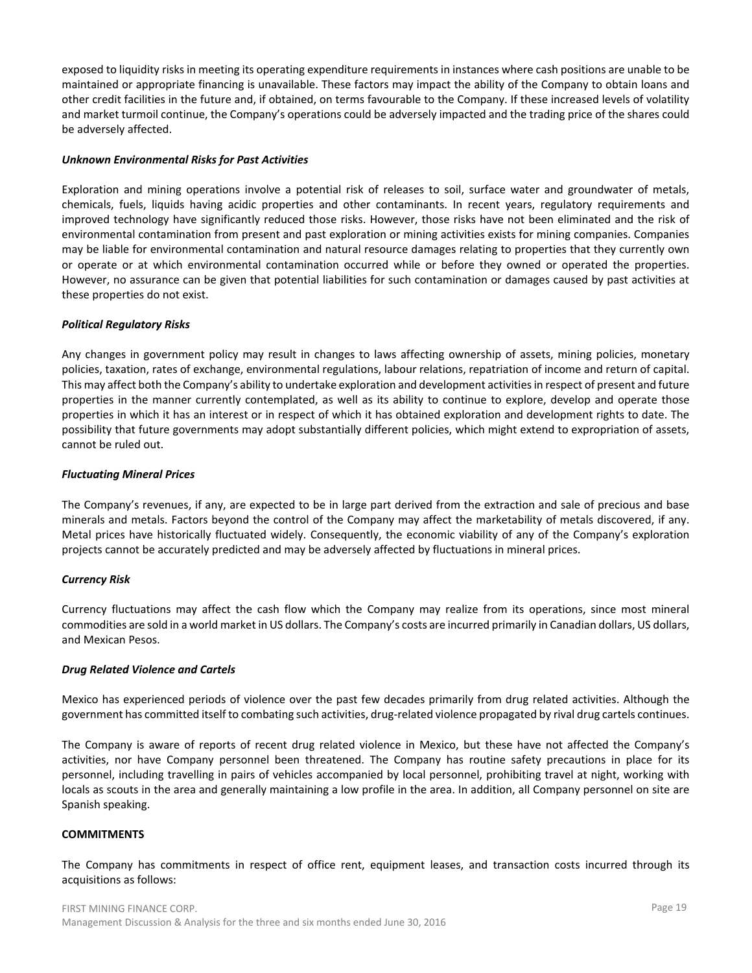exposed to liquidity risks in meeting its operating expenditure requirements in instances where cash positions are unable to be maintained or appropriate financing is unavailable. These factors may impact the ability of the Company to obtain loans and other credit facilities in the future and, if obtained, on terms favourable to the Company. If these increased levels of volatility and market turmoil continue, the Company's operations could be adversely impacted and the trading price of the shares could be adversely affected.

### *Unknown Environmental Risks for Past Activities*

Exploration and mining operations involve a potential risk of releases to soil, surface water and groundwater of metals, chemicals, fuels, liquids having acidic properties and other contaminants. In recent years, regulatory requirements and improved technology have significantly reduced those risks. However, those risks have not been eliminated and the risk of environmental contamination from present and past exploration or mining activities exists for mining companies. Companies may be liable for environmental contamination and natural resource damages relating to properties that they currently own or operate or at which environmental contamination occurred while or before they owned or operated the properties. However, no assurance can be given that potential liabilities for such contamination or damages caused by past activities at these properties do not exist.

### *Political Regulatory Risks*

Any changes in government policy may result in changes to laws affecting ownership of assets, mining policies, monetary policies, taxation, rates of exchange, environmental regulations, labour relations, repatriation of income and return of capital. This may affect both the Company's ability to undertake exploration and development activities in respect of present and future properties in the manner currently contemplated, as well as its ability to continue to explore, develop and operate those properties in which it has an interest or in respect of which it has obtained exploration and development rights to date. The possibility that future governments may adopt substantially different policies, which might extend to expropriation of assets, cannot be ruled out.

### *Fluctuating Mineral Prices*

The Company's revenues, if any, are expected to be in large part derived from the extraction and sale of precious and base minerals and metals. Factors beyond the control of the Company may affect the marketability of metals discovered, if any. Metal prices have historically fluctuated widely. Consequently, the economic viability of any of the Company's exploration projects cannot be accurately predicted and may be adversely affected by fluctuations in mineral prices.

# *Currency Risk*

Currency fluctuations may affect the cash flow which the Company may realize from its operations, since most mineral commodities are sold in a world market in US dollars. The Company's costs are incurred primarily in Canadian dollars, US dollars, and Mexican Pesos.

#### *Drug Related Violence and Cartels*

Mexico has experienced periods of violence over the past few decades primarily from drug related activities. Although the government has committed itself to combating such activities, drug-related violence propagated by rival drug cartels continues.

The Company is aware of reports of recent drug related violence in Mexico, but these have not affected the Company's activities, nor have Company personnel been threatened. The Company has routine safety precautions in place for its personnel, including travelling in pairs of vehicles accompanied by local personnel, prohibiting travel at night, working with locals as scouts in the area and generally maintaining a low profile in the area. In addition, all Company personnel on site are Spanish speaking.

#### **COMMITMENTS**

The Company has commitments in respect of office rent, equipment leases, and transaction costs incurred through its acquisitions as follows: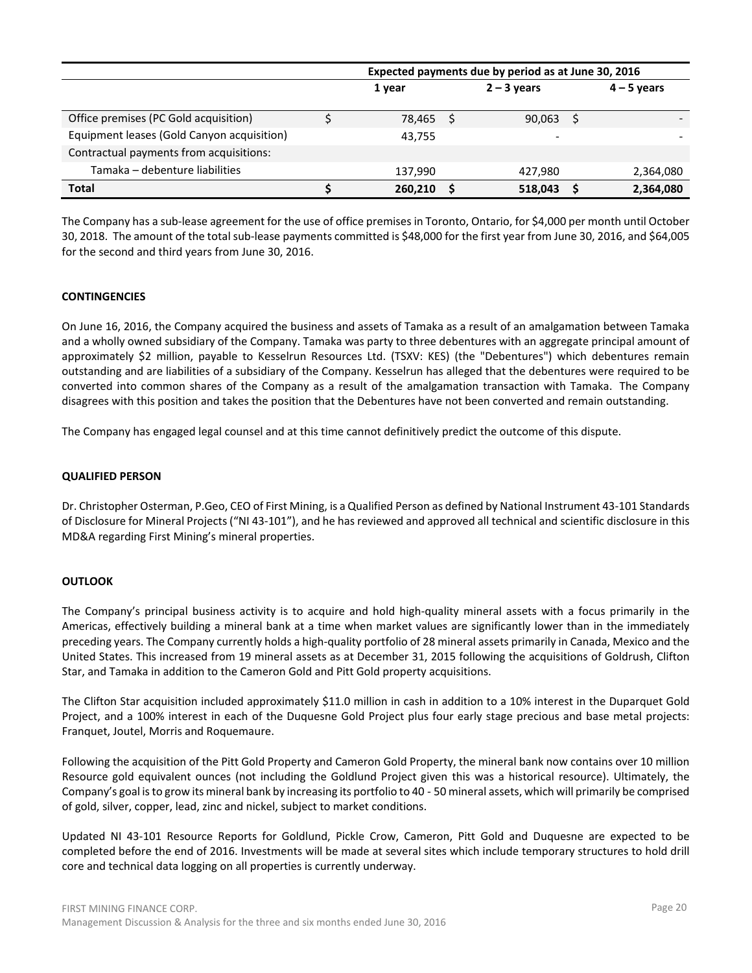|                                            | Expected payments due by period as at June 30, 2016 |  |               |  |               |  |  |  |  |  |  |  |  |
|--------------------------------------------|-----------------------------------------------------|--|---------------|--|---------------|--|--|--|--|--|--|--|--|
|                                            | 1 year                                              |  | $2 - 3$ years |  | $4 - 5$ years |  |  |  |  |  |  |  |  |
| Office premises (PC Gold acquisition)      | 78,465                                              |  | 90,063        |  |               |  |  |  |  |  |  |  |  |
| Equipment leases (Gold Canyon acquisition) | 43.755                                              |  |               |  |               |  |  |  |  |  |  |  |  |
| Contractual payments from acquisitions:    |                                                     |  |               |  |               |  |  |  |  |  |  |  |  |
| Tamaka - debenture liabilities             | 137,990                                             |  | 427.980       |  | 2,364,080     |  |  |  |  |  |  |  |  |
| <b>Total</b>                               | 260.210                                             |  | 518,043       |  | 2,364,080     |  |  |  |  |  |  |  |  |

The Company has a sub-lease agreement for the use of office premises in Toronto, Ontario, for \$4,000 per month until October 30, 2018. The amount of the total sub-lease payments committed is \$48,000 for the first year from June 30, 2016, and \$64,005 for the second and third years from June 30, 2016.

# **CONTINGENCIES**

On June 16, 2016, the Company acquired the business and assets of Tamaka as a result of an amalgamation between Tamaka and a wholly owned subsidiary of the Company. Tamaka was party to three debentures with an aggregate principal amount of approximately \$2 million, payable to Kesselrun Resources Ltd. (TSXV: KES) (the "Debentures") which debentures remain outstanding and are liabilities of a subsidiary of the Company. Kesselrun has alleged that the debentures were required to be converted into common shares of the Company as a result of the amalgamation transaction with Tamaka. The Company disagrees with this position and takes the position that the Debentures have not been converted and remain outstanding.

The Company has engaged legal counsel and at this time cannot definitively predict the outcome of this dispute.

#### **QUALIFIED PERSON**

Dr. Christopher Osterman, P.Geo, CEO of First Mining, is a Qualified Person as defined by National Instrument 43-101 Standards of Disclosure for Mineral Projects ("NI 43-101"), and he has reviewed and approved all technical and scientific disclosure in this MD&A regarding First Mining's mineral properties.

# **OUTLOOK**

The Company's principal business activity is to acquire and hold high-quality mineral assets with a focus primarily in the Americas, effectively building a mineral bank at a time when market values are significantly lower than in the immediately preceding years. The Company currently holds a high-quality portfolio of 28 mineral assets primarily in Canada, Mexico and the United States. This increased from 19 mineral assets as at December 31, 2015 following the acquisitions of Goldrush, Clifton Star, and Tamaka in addition to the Cameron Gold and Pitt Gold property acquisitions.

The Clifton Star acquisition included approximately \$11.0 million in cash in addition to a 10% interest in the Duparquet Gold Project, and a 100% interest in each of the Duquesne Gold Project plus four early stage precious and base metal projects: Franquet, Joutel, Morris and Roquemaure.

Following the acquisition of the Pitt Gold Property and Cameron Gold Property, the mineral bank now contains over 10 million Resource gold equivalent ounces (not including the Goldlund Project given this was a historical resource). Ultimately, the Company's goal is to grow its mineral bank by increasing its portfolio to 40 - 50 mineral assets, which will primarily be comprised of gold, silver, copper, lead, zinc and nickel, subject to market conditions.

Updated NI 43-101 Resource Reports for Goldlund, Pickle Crow, Cameron, Pitt Gold and Duquesne are expected to be completed before the end of 2016. Investments will be made at several sites which include temporary structures to hold drill core and technical data logging on all properties is currently underway.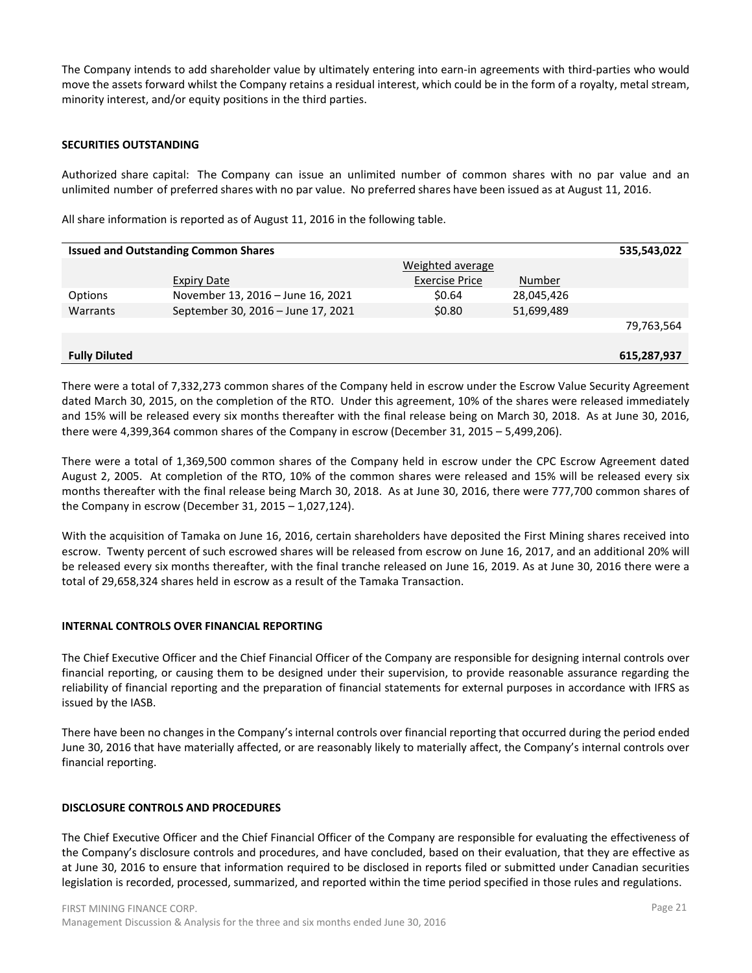The Company intends to add shareholder value by ultimately entering into earn-in agreements with third-parties who would move the assets forward whilst the Company retains a residual interest, which could be in the form of a royalty, metal stream, minority interest, and/or equity positions in the third parties.

# **SECURITIES OUTSTANDING**

Authorized share capital: The Company can issue an unlimited number of common shares with no par value and an unlimited number of preferred shares with no par value. No preferred shares have been issued as at August 11, 2016.

All share information is reported as of August 11, 2016 in the following table.

|                      | <b>Issued and Outstanding Common Shares</b> |                       |            | 535,543,022 |
|----------------------|---------------------------------------------|-----------------------|------------|-------------|
|                      |                                             | Weighted average      |            |             |
|                      | <b>Expiry Date</b>                          | <b>Exercise Price</b> | Number     |             |
| Options              | November 13, 2016 - June 16, 2021           | \$0.64                | 28,045,426 |             |
| Warrants             | September 30, 2016 - June 17, 2021          | \$0.80                | 51,699,489 |             |
|                      |                                             |                       |            | 79,763,564  |
|                      |                                             |                       |            |             |
| <b>Fully Diluted</b> |                                             |                       |            | 615,287,937 |

There were a total of 7,332,273 common shares of the Company held in escrow under the Escrow Value Security Agreement dated March 30, 2015, on the completion of the RTO. Under this agreement, 10% of the shares were released immediately and 15% will be released every six months thereafter with the final release being on March 30, 2018. As at June 30, 2016, there were 4,399,364 common shares of the Company in escrow (December 31, 2015 – 5,499,206).

There were a total of 1,369,500 common shares of the Company held in escrow under the CPC Escrow Agreement dated August 2, 2005. At completion of the RTO, 10% of the common shares were released and 15% will be released every six months thereafter with the final release being March 30, 2018. As at June 30, 2016, there were 777,700 common shares of the Company in escrow (December 31, 2015 – 1,027,124).

With the acquisition of Tamaka on June 16, 2016, certain shareholders have deposited the First Mining shares received into escrow. Twenty percent of such escrowed shares will be released from escrow on June 16, 2017, and an additional 20% will be released every six months thereafter, with the final tranche released on June 16, 2019. As at June 30, 2016 there were a total of 29,658,324 shares held in escrow as a result of the Tamaka Transaction.

# **INTERNAL CONTROLS OVER FINANCIAL REPORTING**

The Chief Executive Officer and the Chief Financial Officer of the Company are responsible for designing internal controls over financial reporting, or causing them to be designed under their supervision, to provide reasonable assurance regarding the reliability of financial reporting and the preparation of financial statements for external purposes in accordance with IFRS as issued by the IASB.

There have been no changes in the Company's internal controls over financial reporting that occurred during the period ended June 30, 2016 that have materially affected, or are reasonably likely to materially affect, the Company's internal controls over financial reporting.

# **DISCLOSURE CONTROLS AND PROCEDURES**

The Chief Executive Officer and the Chief Financial Officer of the Company are responsible for evaluating the effectiveness of the Company's disclosure controls and procedures, and have concluded, based on their evaluation, that they are effective as at June 30, 2016 to ensure that information required to be disclosed in reports filed or submitted under Canadian securities legislation is recorded, processed, summarized, and reported within the time period specified in those rules and regulations.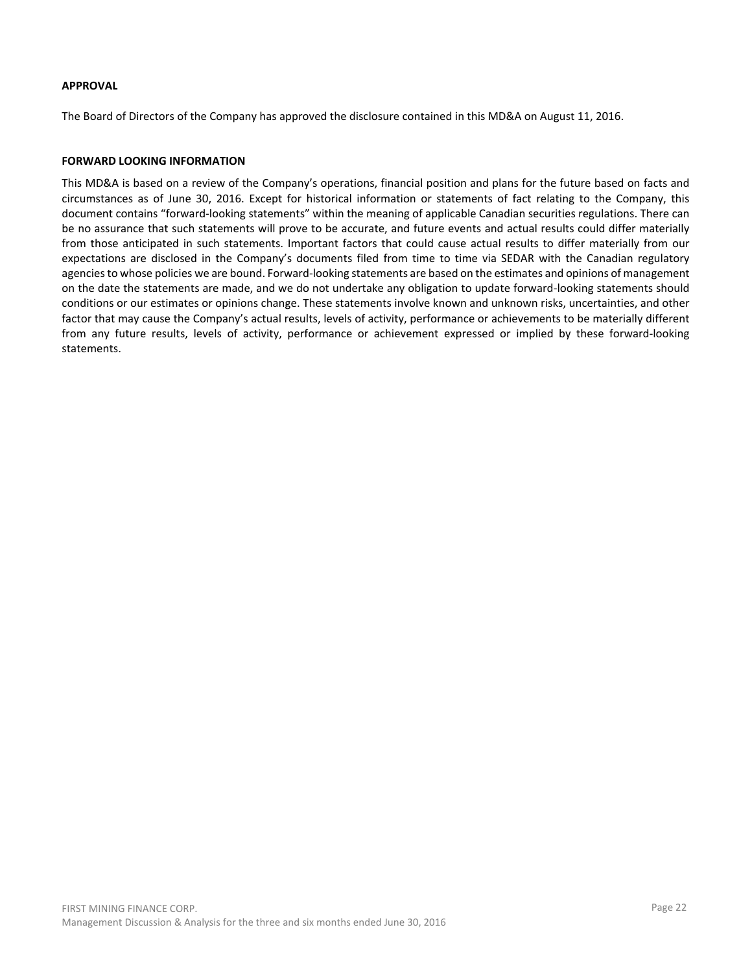### **APPROVAL**

The Board of Directors of the Company has approved the disclosure contained in this MD&A on August 11, 2016.

### **FORWARD LOOKING INFORMATION**

This MD&A is based on a review of the Company's operations, financial position and plans for the future based on facts and circumstances as of June 30, 2016. Except for historical information or statements of fact relating to the Company, this document contains "forward-looking statements" within the meaning of applicable Canadian securities regulations. There can be no assurance that such statements will prove to be accurate, and future events and actual results could differ materially from those anticipated in such statements. Important factors that could cause actual results to differ materially from our expectations are disclosed in the Company's documents filed from time to time via SEDAR with the Canadian regulatory agencies to whose policies we are bound. Forward-looking statements are based on the estimates and opinions of management on the date the statements are made, and we do not undertake any obligation to update forward-looking statements should conditions or our estimates or opinions change. These statements involve known and unknown risks, uncertainties, and other factor that may cause the Company's actual results, levels of activity, performance or achievements to be materially different from any future results, levels of activity, performance or achievement expressed or implied by these forward-looking statements.